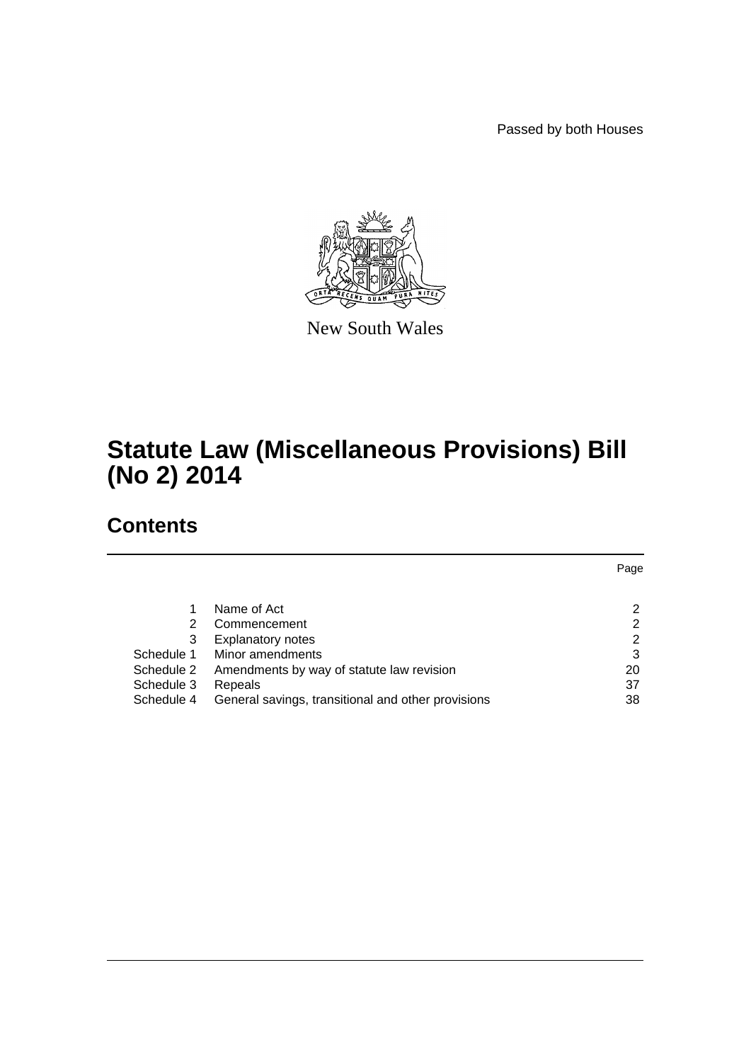Passed by both Houses



New South Wales

# **Statute Law (Miscellaneous Provisions) Bill (No 2) 2014**

# **Contents**

|            |                                                    | Page |
|------------|----------------------------------------------------|------|
|            |                                                    |      |
|            | Name of Act                                        | 2    |
| 2          | Commencement                                       | 2    |
| 3          | <b>Explanatory notes</b>                           | 2    |
| Schedule 1 | Minor amendments                                   | 3    |
| Schedule 2 | Amendments by way of statute law revision          | 20   |
| Schedule 3 | Repeals                                            | 37   |
| Schedule 4 | General savings, transitional and other provisions | 38   |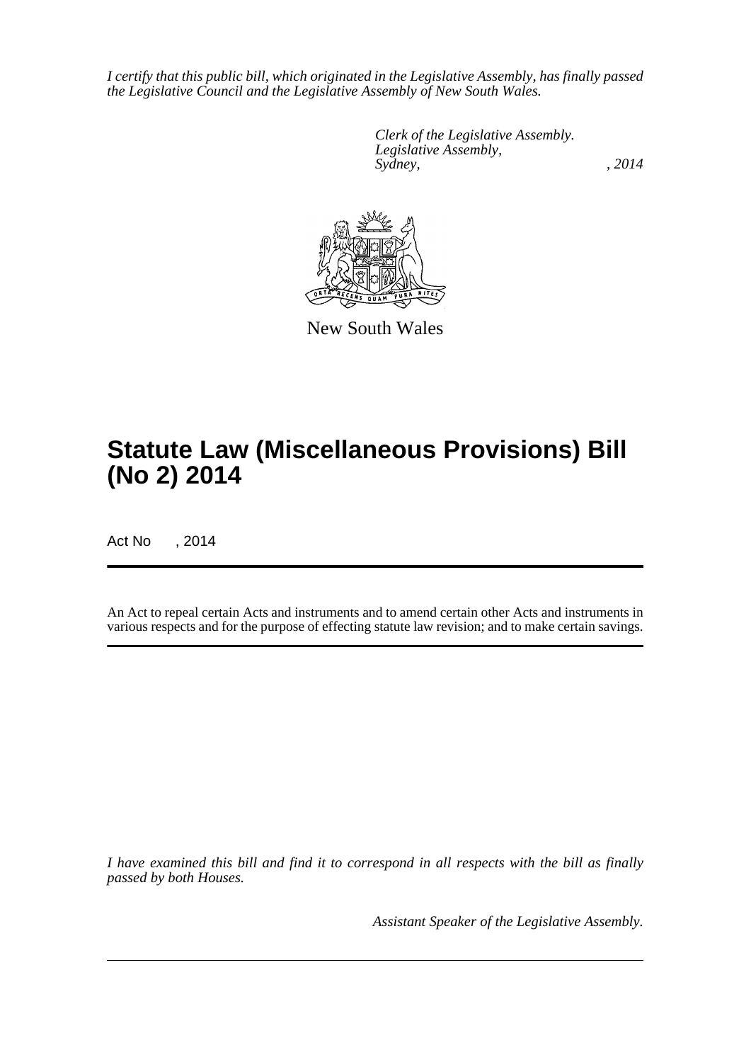*I certify that this public bill, which originated in the Legislative Assembly, has finally passed the Legislative Council and the Legislative Assembly of New South Wales.*

> *Clerk of the Legislative Assembly. Legislative Assembly, Sydney,* , 2014



New South Wales

# **Statute Law (Miscellaneous Provisions) Bill (No 2) 2014**

Act No , 2014

An Act to repeal certain Acts and instruments and to amend certain other Acts and instruments in various respects and for the purpose of effecting statute law revision; and to make certain savings.

*I have examined this bill and find it to correspond in all respects with the bill as finally passed by both Houses.*

*Assistant Speaker of the Legislative Assembly.*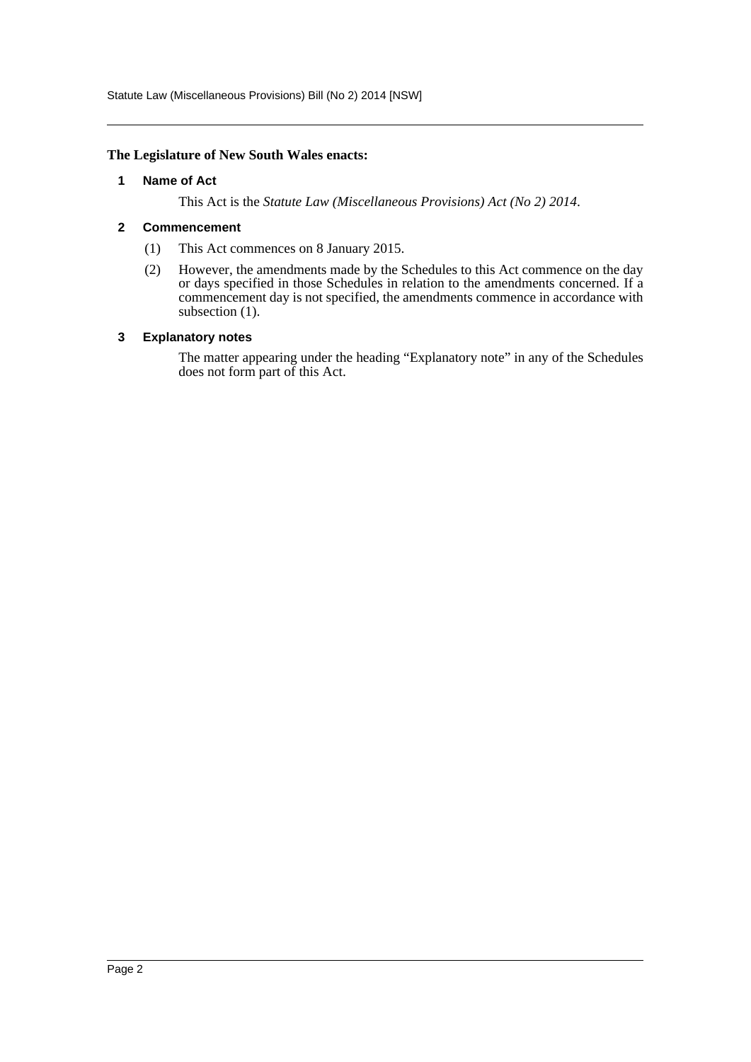Statute Law (Miscellaneous Provisions) Bill (No 2) 2014 [NSW]

#### <span id="page-2-0"></span>**The Legislature of New South Wales enacts:**

#### **1 Name of Act**

This Act is the *Statute Law (Miscellaneous Provisions) Act (No 2) 2014*.

#### <span id="page-2-1"></span>**2 Commencement**

- (1) This Act commences on 8 January 2015.
- (2) However, the amendments made by the Schedules to this Act commence on the day or days specified in those Schedules in relation to the amendments concerned. If a commencement day is not specified, the amendments commence in accordance with subsection  $(1)$ .

#### <span id="page-2-2"></span>**3 Explanatory notes**

The matter appearing under the heading "Explanatory note" in any of the Schedules does not form part of this Act.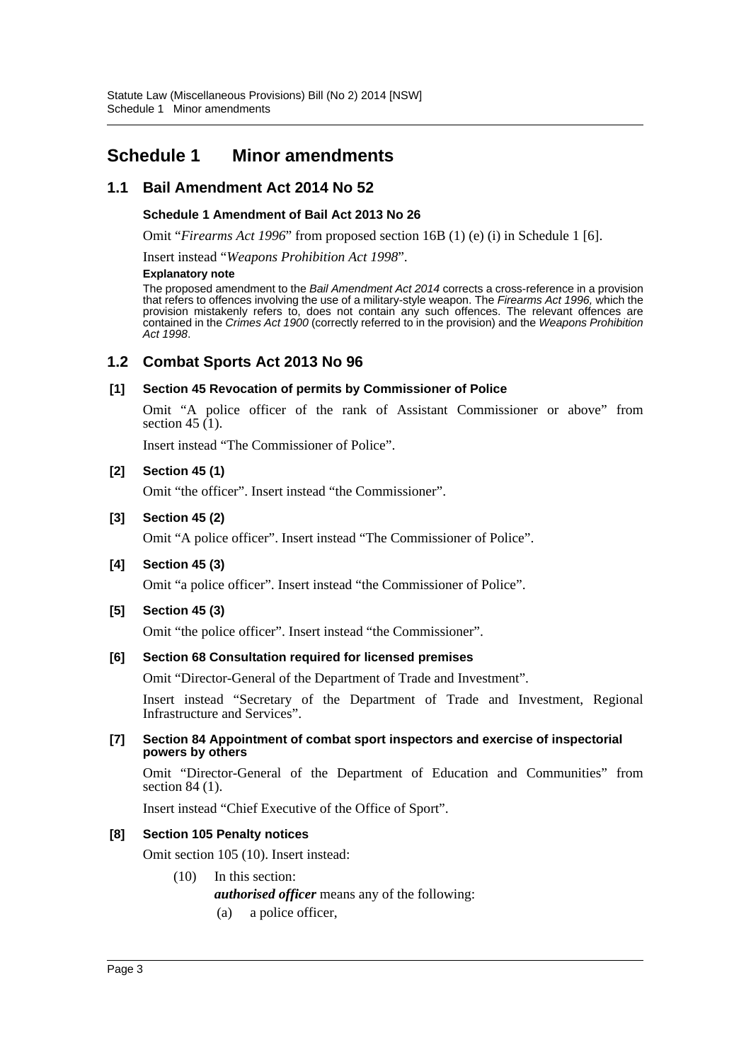# <span id="page-3-0"></span>**Schedule 1 Minor amendments**

# **1.1 Bail Amendment Act 2014 No 52**

### **Schedule 1 Amendment of Bail Act 2013 No 26**

Omit "*Firearms Act 1996*" from proposed section 16B (1) (e) (i) in Schedule 1 [6].

Insert instead "*Weapons Prohibition Act 1998*".

#### **Explanatory note**

The proposed amendment to the *Bail Amendment Act 2014* corrects a cross-reference in a provision that refers to offences involving the use of a military-style weapon. The *Firearms Act 1996,* which the provision mistakenly refers to, does not contain any such offences. The relevant offences are contained in the *Crimes Act 1900* (correctly referred to in the provision) and the *Weapons Prohibition Act 1998*.

### **1.2 Combat Sports Act 2013 No 96**

### **[1] Section 45 Revocation of permits by Commissioner of Police**

Omit "A police officer of the rank of Assistant Commissioner or above" from section 45  $(1)$ .

Insert instead "The Commissioner of Police".

### **[2] Section 45 (1)**

Omit "the officer". Insert instead "the Commissioner".

### **[3] Section 45 (2)**

Omit "A police officer". Insert instead "The Commissioner of Police".

#### **[4] Section 45 (3)**

Omit "a police officer". Insert instead "the Commissioner of Police".

#### **[5] Section 45 (3)**

Omit "the police officer". Insert instead "the Commissioner".

### **[6] Section 68 Consultation required for licensed premises**

Omit "Director-General of the Department of Trade and Investment".

Insert instead "Secretary of the Department of Trade and Investment, Regional Infrastructure and Services".

#### **[7] Section 84 Appointment of combat sport inspectors and exercise of inspectorial powers by others**

Omit "Director-General of the Department of Education and Communities" from section 84 (1).

Insert instead "Chief Executive of the Office of Sport".

#### **[8] Section 105 Penalty notices**

Omit section 105 (10). Insert instead:

(10) In this section:

*authorised officer* means any of the following:

(a) a police officer,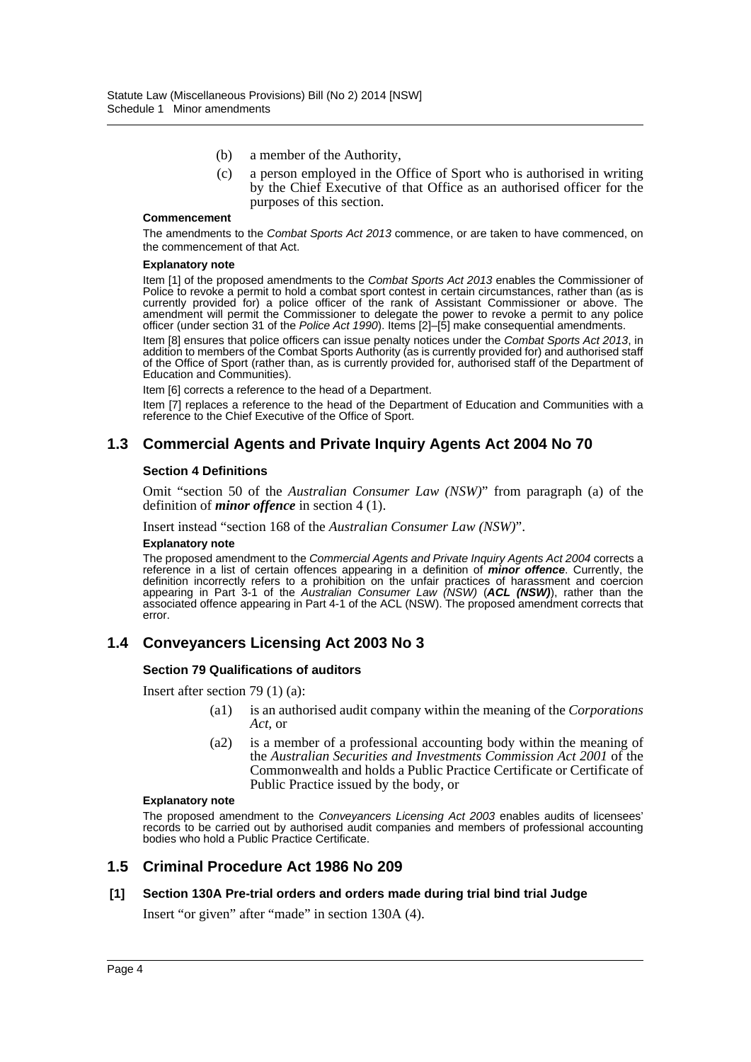- (b) a member of the Authority,
- (c) a person employed in the Office of Sport who is authorised in writing by the Chief Executive of that Office as an authorised officer for the purposes of this section.

#### **Commencement**

The amendments to the *Combat Sports Act 2013* commence, or are taken to have commenced, on the commencement of that Act.

#### **Explanatory note**

Item [1] of the proposed amendments to the *Combat Sports Act 2013* enables the Commissioner of Police to revoke a permit to hold a combat sport contest in certain circumstances, rather than (as is currently provided for) a police officer of the rank of Assistant Commissioner or above. The amendment will permit the Commissioner to delegate the power to revoke a permit to any police officer (under section 31 of the *Police Act 1990*). Items [2]–[5] make consequential amendments.

Item [8] ensures that police officers can issue penalty notices under the *Combat Sports Act 2013*, in addition to members of the Combat Sports Authority (as is currently provided for) and authorised staff of the Office of Sport (rather than, as is currently provided for, authorised staff of the Department of Education and Communities).

Item [6] corrects a reference to the head of a Department.

Item [7] replaces a reference to the head of the Department of Education and Communities with a reference to the Chief Executive of the Office of Sport.

#### **1.3 Commercial Agents and Private Inquiry Agents Act 2004 No 70**

#### **Section 4 Definitions**

Omit "section 50 of the *Australian Consumer Law (NSW)*" from paragraph (a) of the definition of *minor offence* in section 4 (1).

Insert instead "section 168 of the *Australian Consumer Law (NSW)*".

#### **Explanatory note**

The proposed amendment to the *Commercial Agents and Private Inquiry Agents Act 2004* corrects a reference in a list of certain offences appearing in a definition of *minor offence*. Currently, the definition incorrectly refers to a prohibition on the unfair practices of harassment and coercion appearing in Part 3-1 of the *Australian Consumer Law (NSW)* (*ACL (NSW)*), rather than the associated offence appearing in Part 4-1 of the ACL (NSW). The proposed amendment corrects that error.

#### **1.4 Conveyancers Licensing Act 2003 No 3**

#### **Section 79 Qualifications of auditors**

Insert after section 79 (1) (a):

- (a1) is an authorised audit company within the meaning of the *Corporations Act,* or
- (a2) is a member of a professional accounting body within the meaning of the *Australian Securities and Investments Commission Act 2001* of the Commonwealth and holds a Public Practice Certificate or Certificate of Public Practice issued by the body, or

#### **Explanatory note**

The proposed amendment to the *Conveyancers Licensing Act 2003* enables audits of licensees' records to be carried out by authorised audit companies and members of professional accounting bodies who hold a Public Practice Certificate.

### **1.5 Criminal Procedure Act 1986 No 209**

#### **[1] Section 130A Pre-trial orders and orders made during trial bind trial Judge**

Insert "or given" after "made" in section 130A (4).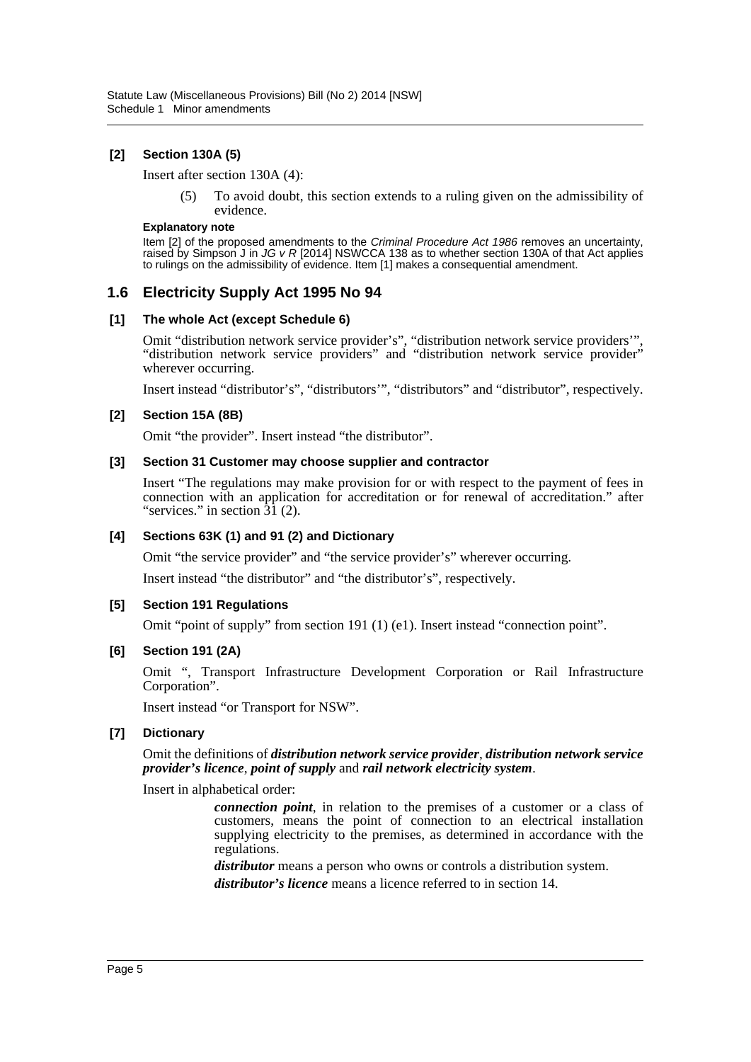### **[2] Section 130A (5)**

Insert after section 130A (4):

(5) To avoid doubt, this section extends to a ruling given on the admissibility of evidence.

#### **Explanatory note**

Item [2] of the proposed amendments to the *Criminal Procedure Act 1986* removes an uncertainty, raised by Simpson J in *JG v R* [2014] NSWCCA 138 as to whether section 130A of that Act applies to rulings on the admissibility of evidence. Item [1] makes a consequential amendment.

# **1.6 Electricity Supply Act 1995 No 94**

#### **[1] The whole Act (except Schedule 6)**

Omit "distribution network service provider's", "distribution network service providers'", "distribution network service providers" and "distribution network service provider" wherever occurring.

Insert instead "distributor's", "distributors'", "distributors" and "distributor", respectively.

### **[2] Section 15A (8B)**

Omit "the provider". Insert instead "the distributor".

#### **[3] Section 31 Customer may choose supplier and contractor**

Insert "The regulations may make provision for or with respect to the payment of fees in connection with an application for accreditation or for renewal of accreditation." after "services." in section  $3\overline{1}$  (2).

#### **[4] Sections 63K (1) and 91 (2) and Dictionary**

Omit "the service provider" and "the service provider's" wherever occurring.

Insert instead "the distributor" and "the distributor's", respectively.

#### **[5] Section 191 Regulations**

Omit "point of supply" from section 191 (1) (e1). Insert instead "connection point".

### **[6] Section 191 (2A)**

Omit ", Transport Infrastructure Development Corporation or Rail Infrastructure Corporation".

Insert instead "or Transport for NSW".

### **[7] Dictionary**

Omit the definitions of *distribution network service provider*, *distribution network service provider's licence*, *point of supply* and *rail network electricity system*.

Insert in alphabetical order:

*connection point*, in relation to the premises of a customer or a class of customers, means the point of connection to an electrical installation supplying electricity to the premises, as determined in accordance with the regulations.

*distributor* means a person who owns or controls a distribution system.

*distributor's licence* means a licence referred to in section 14.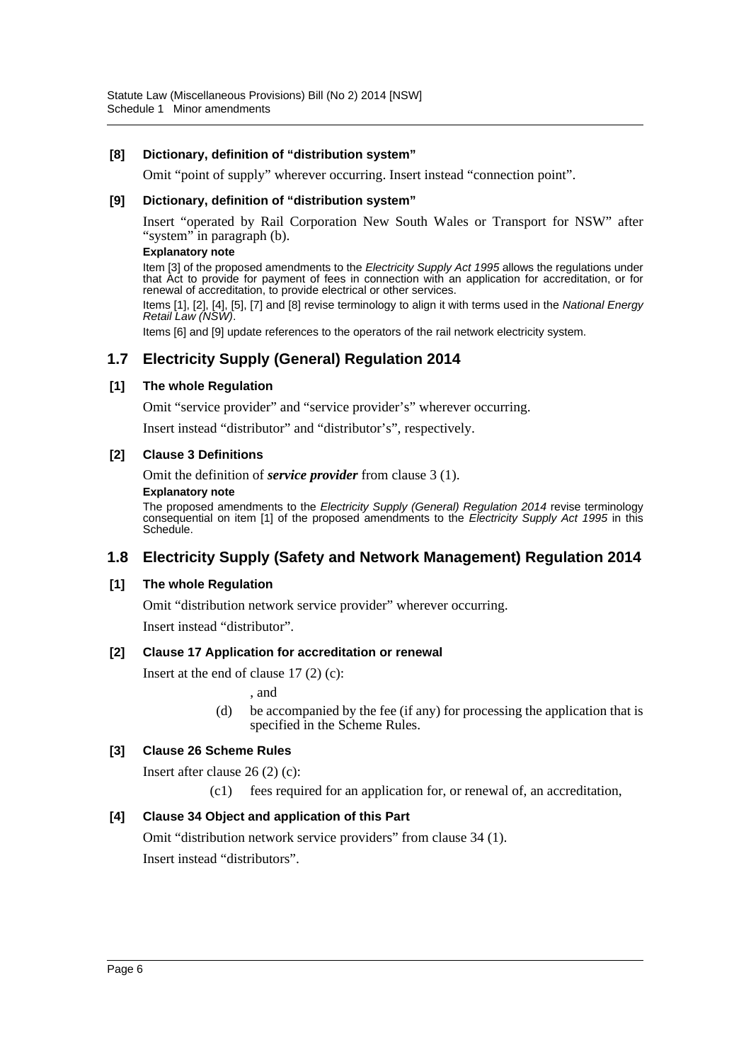#### **[8] Dictionary, definition of "distribution system"**

Omit "point of supply" wherever occurring. Insert instead "connection point".

#### **[9] Dictionary, definition of "distribution system"**

Insert "operated by Rail Corporation New South Wales or Transport for NSW" after "system" in paragraph (b).

#### **Explanatory note**

Item [3] of the proposed amendments to the *Electricity Supply Act 1995* allows the regulations under that Act to provide for payment of fees in connection with an application for accreditation, or for renewal of accreditation, to provide electrical or other services.

Items [1], [2], [4], [5], [7] and [8] revise terminology to align it with terms used in the *National Energy Retail Law (NSW)*.

Items [6] and [9] update references to the operators of the rail network electricity system.

# **1.7 Electricity Supply (General) Regulation 2014**

#### **[1] The whole Regulation**

Omit "service provider" and "service provider's" wherever occurring.

Insert instead "distributor" and "distributor's", respectively.

#### **[2] Clause 3 Definitions**

Omit the definition of *service provider* from clause 3 (1).

#### **Explanatory note**

The proposed amendments to the *Electricity Supply (General) Regulation 2014* revise terminology consequential on item [1] of the proposed amendments to the *Electricity Supply Act 1995* in this Schedule.

# **1.8 Electricity Supply (Safety and Network Management) Regulation 2014**

#### **[1] The whole Regulation**

Omit "distribution network service provider" wherever occurring.

Insert instead "distributor".

#### **[2] Clause 17 Application for accreditation or renewal**

Insert at the end of clause 17 (2) (c):

, and

(d) be accompanied by the fee (if any) for processing the application that is specified in the Scheme Rules.

### **[3] Clause 26 Scheme Rules**

Insert after clause 26 (2) (c):

(c1) fees required for an application for, or renewal of, an accreditation,

### **[4] Clause 34 Object and application of this Part**

Omit "distribution network service providers" from clause 34 (1).

Insert instead "distributors".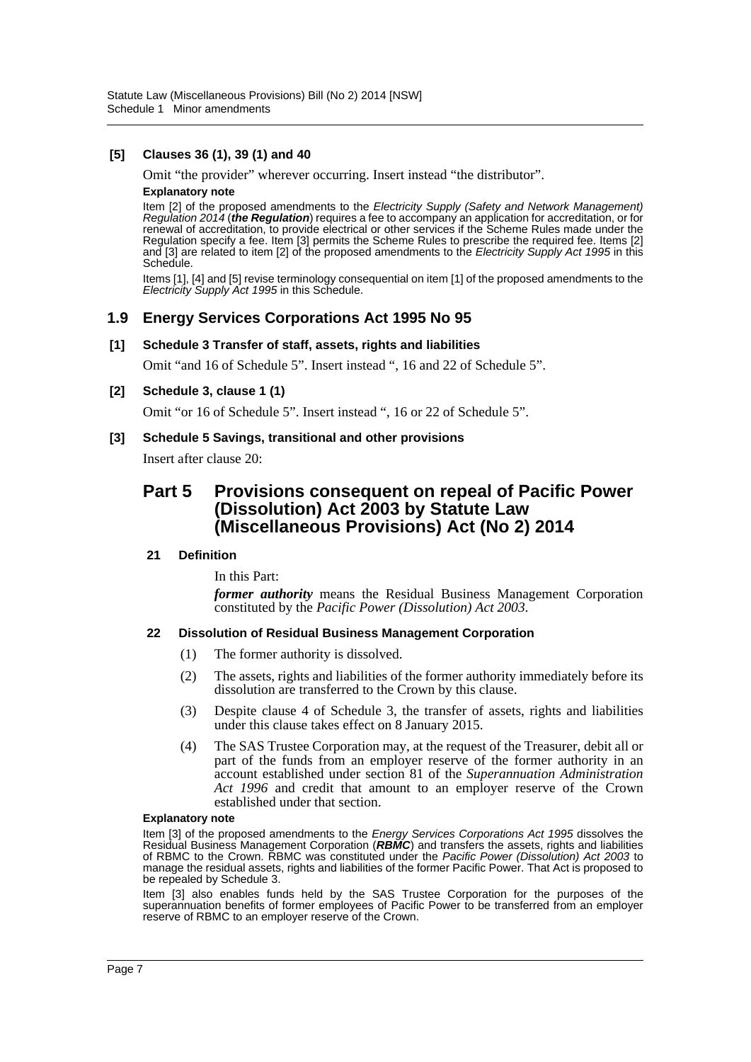### **[5] Clauses 36 (1), 39 (1) and 40**

Omit "the provider" wherever occurring. Insert instead "the distributor". **Explanatory note**

Item [2] of the proposed amendments to the *Electricity Supply (Safety and Network Management) Regulation 2014* (*the Regulation*) requires a fee to accompany an application for accreditation, or for renewal of accreditation, to provide electrical or other services if the Scheme Rules made under the Regulation specify a fee. Item [3] permits the Scheme Rules to prescribe the required fee. Items [2] and [3] are related to item [2] of the proposed amendments to the *Electricity Supply Act 1995* in this Schedule.

Items [1], [4] and [5] revise terminology consequential on item [1] of the proposed amendments to the *Electricity Supply Act 1995* in this Schedule.

### **1.9 Energy Services Corporations Act 1995 No 95**

#### **[1] Schedule 3 Transfer of staff, assets, rights and liabilities**

Omit "and 16 of Schedule 5". Insert instead ", 16 and 22 of Schedule 5".

#### **[2] Schedule 3, clause 1 (1)**

Omit "or 16 of Schedule 5". Insert instead ", 16 or 22 of Schedule 5".

#### **[3] Schedule 5 Savings, transitional and other provisions**

Insert after clause 20:

# **Part 5 Provisions consequent on repeal of Pacific Power (Dissolution) Act 2003 by Statute Law (Miscellaneous Provisions) Act (No 2) 2014**

#### **21 Definition**

In this Part:

*former authority* means the Residual Business Management Corporation constituted by the *Pacific Power (Dissolution) Act 2003*.

#### **22 Dissolution of Residual Business Management Corporation**

- (1) The former authority is dissolved.
- (2) The assets, rights and liabilities of the former authority immediately before its dissolution are transferred to the Crown by this clause.
- (3) Despite clause 4 of Schedule 3, the transfer of assets, rights and liabilities under this clause takes effect on 8 January 2015.
- (4) The SAS Trustee Corporation may, at the request of the Treasurer, debit all or part of the funds from an employer reserve of the former authority in an account established under section 81 of the *Superannuation Administration Act 1996* and credit that amount to an employer reserve of the Crown established under that section.

#### **Explanatory note**

Item [3] of the proposed amendments to the *Energy Services Corporations Act 1995* dissolves the Residual Business Management Corporation (*RBMC*) and transfers the assets, rights and liabilities of RBMC to the Crown. RBMC was constituted under the *Pacific Power (Dissolution) Act 2003* to manage the residual assets, rights and liabilities of the former Pacific Power. That Act is proposed to be repealed by Schedule 3.

Item [3] also enables funds held by the SAS Trustee Corporation for the purposes of the superannuation benefits of former employees of Pacific Power to be transferred from an employer reserve of RBMC to an employer reserve of the Crown.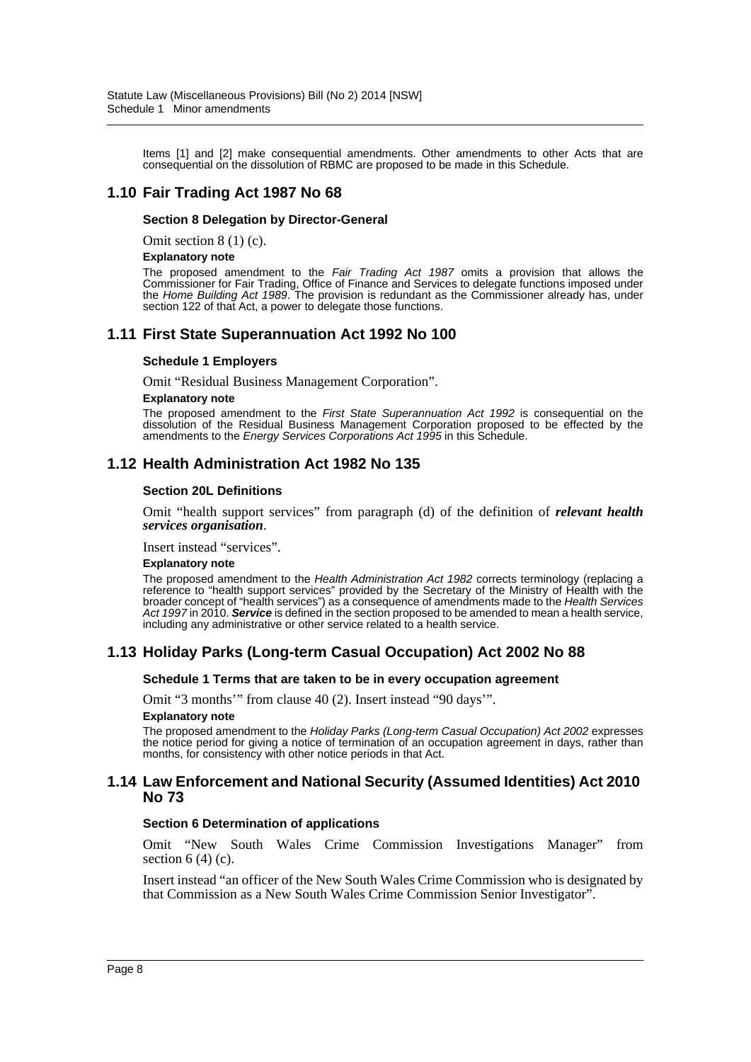Items [1] and [2] make consequential amendments. Other amendments to other Acts that are consequential on the dissolution of RBMC are proposed to be made in this Schedule.

# **1.10 Fair Trading Act 1987 No 68**

#### **Section 8 Delegation by Director-General**

Omit section 8 (1) (c).

#### **Explanatory note**

The proposed amendment to the *Fair Trading Act 1987* omits a provision that allows the Commissioner for Fair Trading, Office of Finance and Services to delegate functions imposed under the *Home Building Act 1989*. The provision is redundant as the Commissioner already has, under section 122 of that Act, a power to delegate those functions.

### **1.11 First State Superannuation Act 1992 No 100**

#### **Schedule 1 Employers**

Omit "Residual Business Management Corporation".

#### **Explanatory note**

The proposed amendment to the *First State Superannuation Act 1992* is consequential on the dissolution of the Residual Business Management Corporation proposed to be effected by the amendments to the *Energy Services Corporations Act 1995* in this Schedule.

### **1.12 Health Administration Act 1982 No 135**

#### **Section 20L Definitions**

Omit "health support services" from paragraph (d) of the definition of *relevant health services organisation*.

Insert instead "services".

#### **Explanatory note**

The proposed amendment to the *Health Administration Act 1982* corrects terminology (replacing a reference to "health support services" provided by the Secretary of the Ministry of Health with the broader concept of "health services") as a consequence of amendments made to the *Health Services Act 1997* in 2010. *Service* is defined in the section proposed to be amended to mean a health service, including any administrative or other service related to a health service.

### **1.13 Holiday Parks (Long-term Casual Occupation) Act 2002 No 88**

#### **Schedule 1 Terms that are taken to be in every occupation agreement**

Omit "3 months'" from clause 40 (2). Insert instead "90 days'".

#### **Explanatory note**

The proposed amendment to the *Holiday Parks (Long-term Casual Occupation) Act 2002* expresses the notice period for giving a notice of termination of an occupation agreement in days, rather than months, for consistency with other notice periods in that Act.

#### **1.14 Law Enforcement and National Security (Assumed Identities) Act 2010 No 73**

#### **Section 6 Determination of applications**

Omit "New South Wales Crime Commission Investigations Manager" from section  $6(4)(c)$ .

Insert instead "an officer of the New South Wales Crime Commission who is designated by that Commission as a New South Wales Crime Commission Senior Investigator".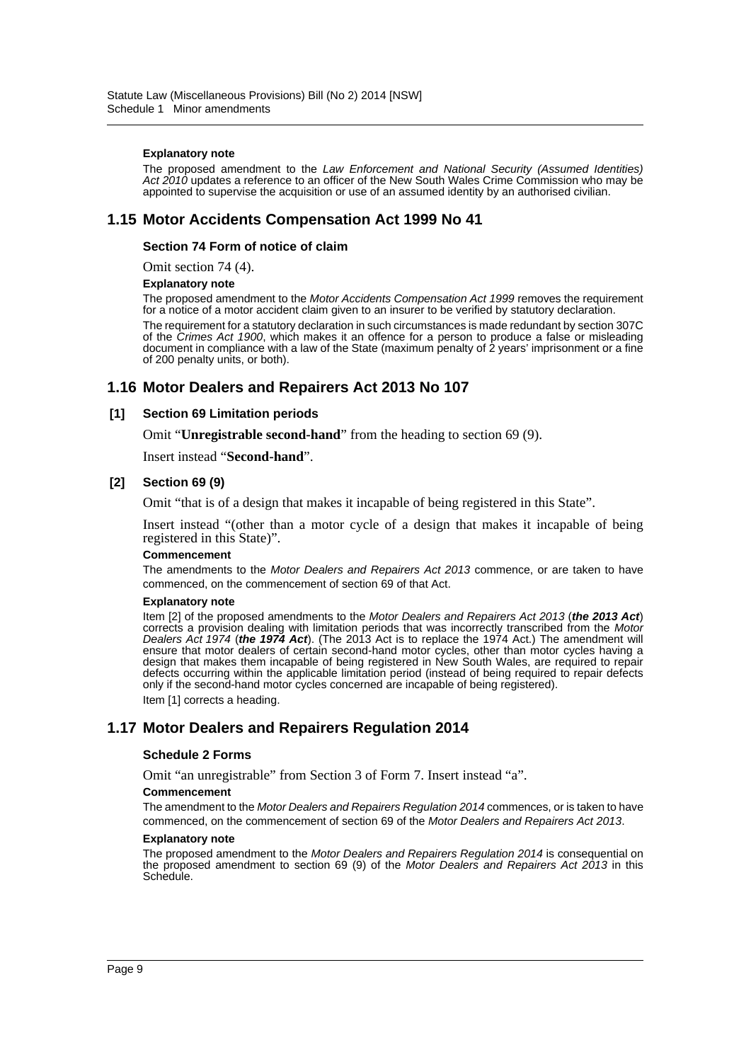#### **Explanatory note**

The proposed amendment to the *Law Enforcement and National Security (Assumed Identities) Act 2010* updates a reference to an officer of the New South Wales Crime Commission who may be appointed to supervise the acquisition or use of an assumed identity by an authorised civilian.

### **1.15 Motor Accidents Compensation Act 1999 No 41**

#### **Section 74 Form of notice of claim**

Omit section 74 (4).

#### **Explanatory note**

The proposed amendment to the *Motor Accidents Compensation Act 1999* removes the requirement for a notice of a motor accident claim given to an insurer to be verified by statutory declaration.

The requirement for a statutory declaration in such circumstances is made redundant by section 307C of the *Crimes Act 1900*, which makes it an offence for a person to produce a false or misleading document in compliance with a law of the State (maximum penalty of 2 years' imprisonment or a fine of 200 penalty units, or both).

### **1.16 Motor Dealers and Repairers Act 2013 No 107**

#### **[1] Section 69 Limitation periods**

Omit "**Unregistrable second-hand**" from the heading to section 69 (9).

Insert instead "**Second-hand**".

#### **[2] Section 69 (9)**

Omit "that is of a design that makes it incapable of being registered in this State".

Insert instead "(other than a motor cycle of a design that makes it incapable of being registered in this State)".

#### **Commencement**

The amendments to the *Motor Dealers and Repairers Act 2013* commence, or are taken to have commenced, on the commencement of section 69 of that Act.

#### **Explanatory note**

Item [2] of the proposed amendments to the *Motor Dealers and Repairers Act 2013* (*the 2013 Act*) corrects a provision dealing with limitation periods that was incorrectly transcribed from the *Motor Dealers Act 1974* (*the 1974 Act*). (The 2013 Act is to replace the 1974 Act.) The amendment will ensure that motor dealers of certain second-hand motor cycles, other than motor cycles having a design that makes them incapable of being registered in New South Wales, are required to repair defects occurring within the applicable limitation period (instead of being required to repair defects only if the second-hand motor cycles concerned are incapable of being registered). Item [1] corrects a heading.

### **1.17 Motor Dealers and Repairers Regulation 2014**

#### **Schedule 2 Forms**

Omit "an unregistrable" from Section 3 of Form 7. Insert instead "a".

#### **Commencement**

The amendment to the *Motor Dealers and Repairers Regulation 2014* commences, or is taken to have commenced, on the commencement of section 69 of the *Motor Dealers and Repairers Act 2013*.

#### **Explanatory note**

The proposed amendment to the *Motor Dealers and Repairers Regulation 2014* is consequential on the proposed amendment to section 69 (9) of the *Motor Dealers and Repairers Act 2013* in this Schedule.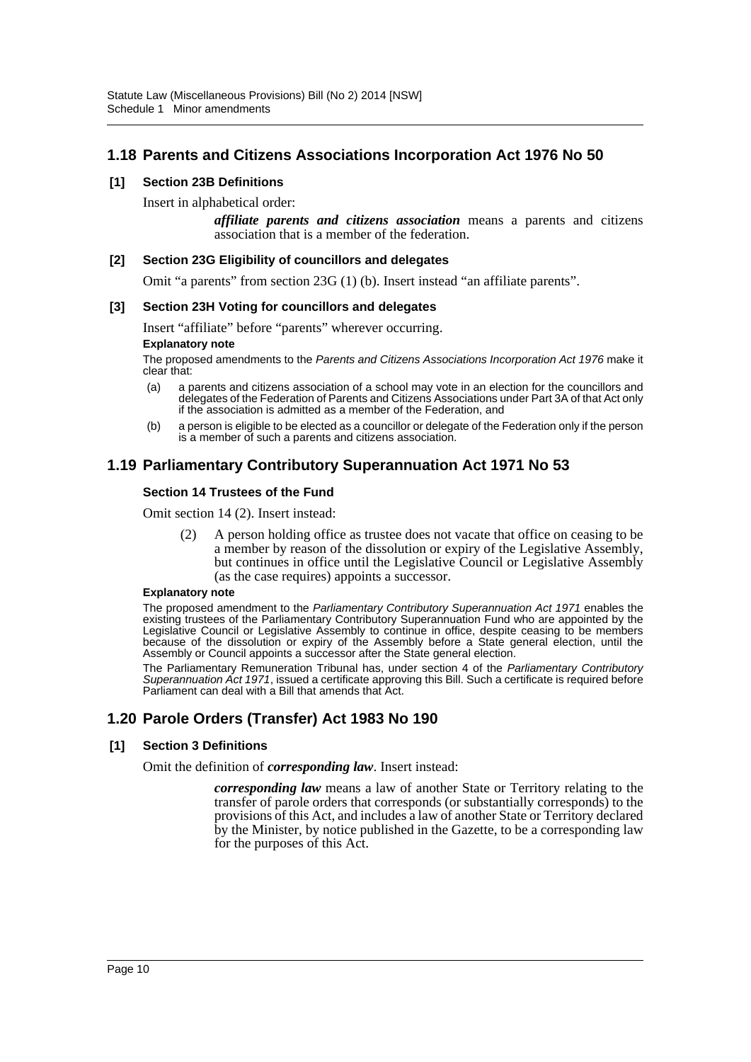# **1.18 Parents and Citizens Associations Incorporation Act 1976 No 50**

### **[1] Section 23B Definitions**

Insert in alphabetical order:

*affiliate parents and citizens association* means a parents and citizens association that is a member of the federation.

#### **[2] Section 23G Eligibility of councillors and delegates**

Omit "a parents" from section 23G (1) (b). Insert instead "an affiliate parents".

#### **[3] Section 23H Voting for councillors and delegates**

Insert "affiliate" before "parents" wherever occurring.

#### **Explanatory note**

The proposed amendments to the *Parents and Citizens Associations Incorporation Act 1976* make it clear that:

- (a) a parents and citizens association of a school may vote in an election for the councillors and delegates of the Federation of Parents and Citizens Associations under Part 3A of that Act only if the association is admitted as a member of the Federation, and
- (b) a person is eligible to be elected as a councillor or delegate of the Federation only if the person is a member of such a parents and citizens association.

# **1.19 Parliamentary Contributory Superannuation Act 1971 No 53**

#### **Section 14 Trustees of the Fund**

Omit section 14 (2). Insert instead:

(2) A person holding office as trustee does not vacate that office on ceasing to be a member by reason of the dissolution or expiry of the Legislative Assembly, but continues in office until the Legislative Council or Legislative Assembly (as the case requires) appoints a successor.

#### **Explanatory note**

The proposed amendment to the *Parliamentary Contributory Superannuation Act 1971* enables the existing trustees of the Parliamentary Contributory Superannuation Fund who are appointed by the Legislative Council or Legislative Assembly to continue in office, despite ceasing to be members because of the dissolution or expiry of the Assembly before a State general election, until the Assembly or Council appoints a successor after the State general election.

The Parliamentary Remuneration Tribunal has, under section 4 of the *Parliamentary Contributory Superannuation Act 1971*, issued a certificate approving this Bill. Such a certificate is required before Parliament can deal with a Bill that amends that Act.

# **1.20 Parole Orders (Transfer) Act 1983 No 190**

#### **[1] Section 3 Definitions**

Omit the definition of *corresponding law*. Insert instead:

*corresponding law* means a law of another State or Territory relating to the transfer of parole orders that corresponds (or substantially corresponds) to the provisions of this Act, and includes a law of another State or Territory declared by the Minister, by notice published in the Gazette, to be a corresponding law for the purposes of this Act.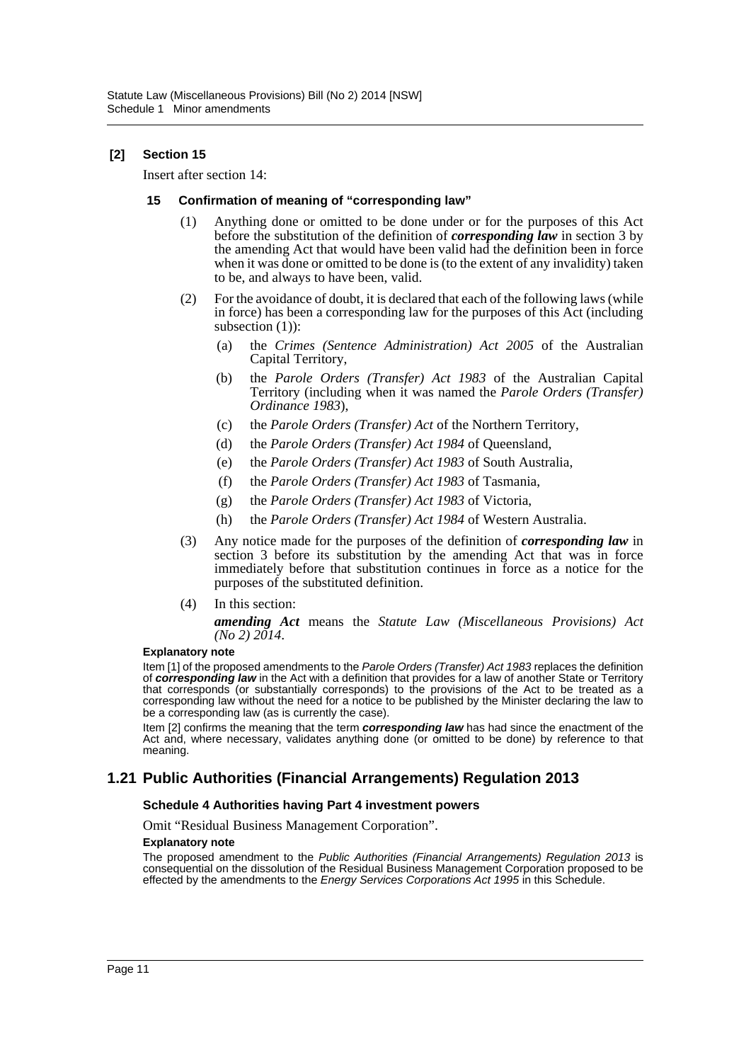### **[2] Section 15**

Insert after section 14:

#### **15 Confirmation of meaning of "corresponding law"**

- (1) Anything done or omitted to be done under or for the purposes of this Act before the substitution of the definition of *corresponding law* in section 3 by the amending Act that would have been valid had the definition been in force when it was done or omitted to be done is (to the extent of any invalidity) taken to be, and always to have been, valid.
- (2) For the avoidance of doubt, it is declared that each of the following laws (while in force) has been a corresponding law for the purposes of this Act (including subsection (1)):
	- (a) the *Crimes (Sentence Administration) Act 2005* of the Australian Capital Territory,
	- (b) the *Parole Orders (Transfer) Act 1983* of the Australian Capital Territory (including when it was named the *Parole Orders (Transfer) Ordinance 1983*),
	- (c) the *Parole Orders (Transfer) Act* of the Northern Territory,
	- (d) the *Parole Orders (Transfer) Act 1984* of Queensland,
	- (e) the *Parole Orders (Transfer) Act 1983* of South Australia,
	- (f) the *Parole Orders (Transfer) Act 1983* of Tasmania,
	- (g) the *Parole Orders (Transfer) Act 1983* of Victoria,
	- (h) the *Parole Orders (Transfer) Act 1984* of Western Australia.
- (3) Any notice made for the purposes of the definition of *corresponding law* in section 3 before its substitution by the amending Act that was in force immediately before that substitution continues in force as a notice for the purposes of the substituted definition.
- (4) In this section:

*amending Act* means the *Statute Law (Miscellaneous Provisions) Act (No 2) 2014*.

#### **Explanatory note**

Item [1] of the proposed amendments to the *Parole Orders (Transfer) Act 1983* replaces the definition of *corresponding law* in the Act with a definition that provides for a law of another State or Territory that corresponds (or substantially corresponds) to the provisions of the Act to be treated as a corresponding law without the need for a notice to be published by the Minister declaring the law to be a corresponding law (as is currently the case).

Item [2] confirms the meaning that the term *corresponding law* has had since the enactment of the Act and, where necessary, validates anything done (or omitted to be done) by reference to that meaning.

### **1.21 Public Authorities (Financial Arrangements) Regulation 2013**

#### **Schedule 4 Authorities having Part 4 investment powers**

Omit "Residual Business Management Corporation".

#### **Explanatory note**

The proposed amendment to the *Public Authorities (Financial Arrangements) Regulation 2013* is consequential on the dissolution of the Residual Business Management Corporation proposed to be effected by the amendments to the *Energy Services Corporations Act 1995* in this Schedule.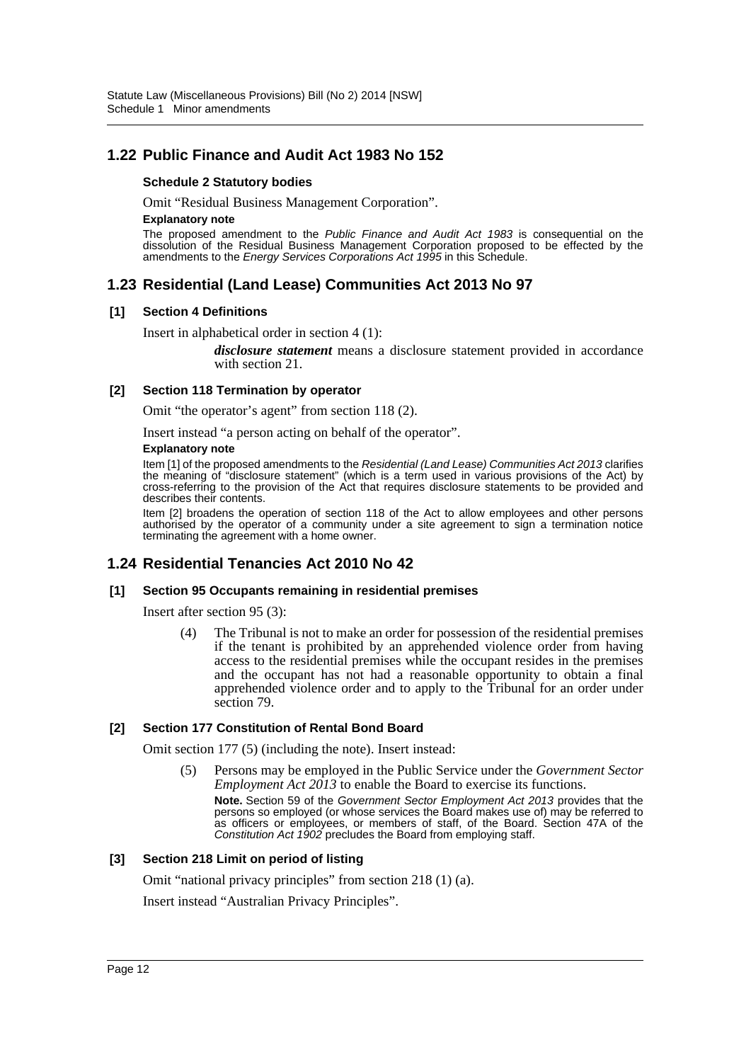# **1.22 Public Finance and Audit Act 1983 No 152**

#### **Schedule 2 Statutory bodies**

Omit "Residual Business Management Corporation".

#### **Explanatory note**

The proposed amendment to the *Public Finance and Audit Act 1983* is consequential on the dissolution of the Residual Business Management Corporation proposed to be effected by the amendments to the *Energy Services Corporations Act 1995* in this Schedule.

# **1.23 Residential (Land Lease) Communities Act 2013 No 97**

#### **[1] Section 4 Definitions**

Insert in alphabetical order in section 4 (1):

*disclosure statement* means a disclosure statement provided in accordance with section 21.

#### **[2] Section 118 Termination by operator**

Omit "the operator's agent" from section 118 (2).

Insert instead "a person acting on behalf of the operator".

#### **Explanatory note**

Item [1] of the proposed amendments to the *Residential (Land Lease) Communities Act 2013* clarifies the meaning of "disclosure statement" (which is a term used in various provisions of the Act) by cross-referring to the provision of the Act that requires disclosure statements to be provided and describes their contents.

Item [2] broadens the operation of section 118 of the Act to allow employees and other persons authorised by the operator of a community under a site agreement to sign a termination notice terminating the agreement with a home owner.

# **1.24 Residential Tenancies Act 2010 No 42**

#### **[1] Section 95 Occupants remaining in residential premises**

Insert after section 95 (3):

(4) The Tribunal is not to make an order for possession of the residential premises if the tenant is prohibited by an apprehended violence order from having access to the residential premises while the occupant resides in the premises and the occupant has not had a reasonable opportunity to obtain a final apprehended violence order and to apply to the Tribunal for an order under section 79.

#### **[2] Section 177 Constitution of Rental Bond Board**

Omit section 177 (5) (including the note). Insert instead:

(5) Persons may be employed in the Public Service under the *Government Sector Employment Act 2013* to enable the Board to exercise its functions.

**Note.** Section 59 of the *Government Sector Employment Act 2013* provides that the persons so employed (or whose services the Board makes use of) may be referred to as officers or employees, or members of staff, of the Board. Section 47A of the *Constitution Act 1902* precludes the Board from employing staff.

#### **[3] Section 218 Limit on period of listing**

Omit "national privacy principles" from section 218 (1) (a).

Insert instead "Australian Privacy Principles".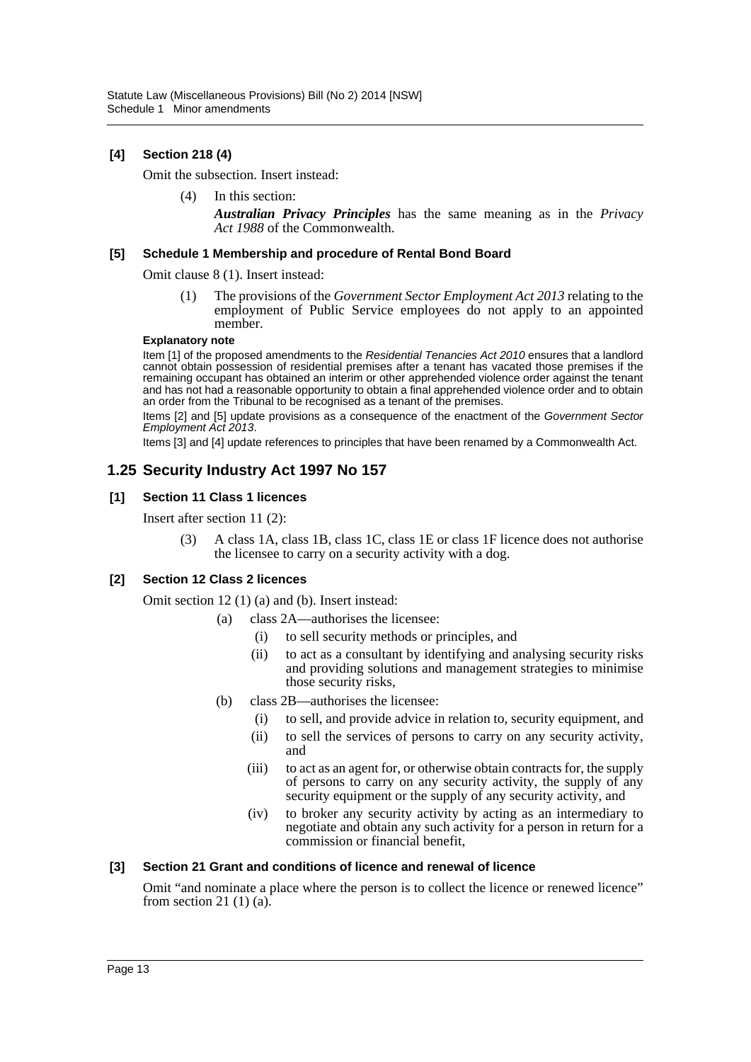### **[4] Section 218 (4)**

Omit the subsection. Insert instead:

(4) In this section: *Australian Privacy Principles* has the same meaning as in the *Privacy Act 1988* of the Commonwealth.

#### **[5] Schedule 1 Membership and procedure of Rental Bond Board**

Omit clause 8 (1). Insert instead:

The provisions of the *Government Sector Employment Act 2013* relating to the employment of Public Service employees do not apply to an appointed member.

#### **Explanatory note**

Item [1] of the proposed amendments to the *Residential Tenancies Act 2010* ensures that a landlord cannot obtain possession of residential premises after a tenant has vacated those premises if the remaining occupant has obtained an interim or other apprehended violence order against the tenant and has not had a reasonable opportunity to obtain a final apprehended violence order and to obtain an order from the Tribunal to be recognised as a tenant of the premises.

Items [2] and [5] update provisions as a consequence of the enactment of the *Government Sector Employment Act 2013*.

Items [3] and [4] update references to principles that have been renamed by a Commonwealth Act.

# **1.25 Security Industry Act 1997 No 157**

#### **[1] Section 11 Class 1 licences**

Insert after section 11 (2):

(3) A class 1A, class 1B, class 1C, class 1E or class 1F licence does not authorise the licensee to carry on a security activity with a dog.

#### **[2] Section 12 Class 2 licences**

Omit section 12 (1) (a) and (b). Insert instead:

- (a) class 2A—authorises the licensee:
	- (i) to sell security methods or principles, and
	- (ii) to act as a consultant by identifying and analysing security risks and providing solutions and management strategies to minimise those security risks,
- (b) class 2B—authorises the licensee:
	- (i) to sell, and provide advice in relation to, security equipment, and
	- (ii) to sell the services of persons to carry on any security activity, and
	- (iii) to act as an agent for, or otherwise obtain contracts for, the supply of persons to carry on any security activity, the supply of any security equipment or the supply of any security activity, and
	- (iv) to broker any security activity by acting as an intermediary to negotiate and obtain any such activity for a person in return for a commission or financial benefit,

#### **[3] Section 21 Grant and conditions of licence and renewal of licence**

Omit "and nominate a place where the person is to collect the licence or renewed licence" from section 21 $(1)$  $(a)$ .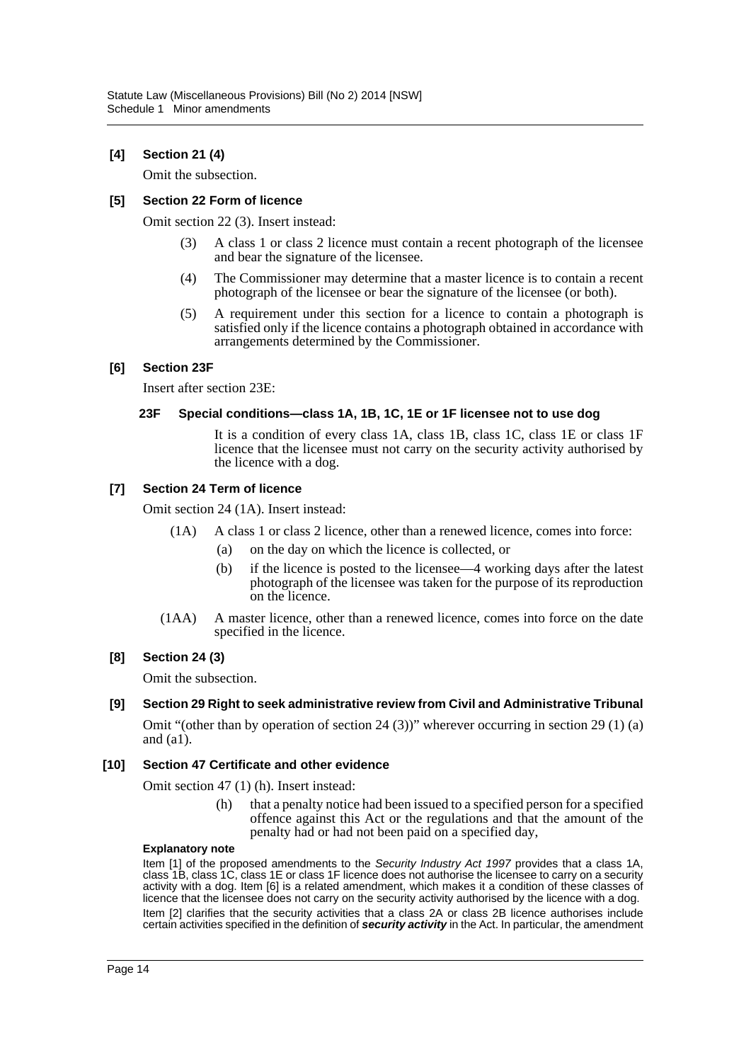### **[4] Section 21 (4)**

Omit the subsection.

#### **[5] Section 22 Form of licence**

Omit section 22 (3). Insert instead:

- (3) A class 1 or class 2 licence must contain a recent photograph of the licensee and bear the signature of the licensee.
- (4) The Commissioner may determine that a master licence is to contain a recent photograph of the licensee or bear the signature of the licensee (or both).
- (5) A requirement under this section for a licence to contain a photograph is satisfied only if the licence contains a photograph obtained in accordance with arrangements determined by the Commissioner.

#### **[6] Section 23F**

Insert after section 23E:

#### **23F Special conditions—class 1A, 1B, 1C, 1E or 1F licensee not to use dog**

It is a condition of every class 1A, class 1B, class 1C, class 1E or class 1F licence that the licensee must not carry on the security activity authorised by the licence with a dog.

#### **[7] Section 24 Term of licence**

Omit section 24 (1A). Insert instead:

- (1A) A class 1 or class 2 licence, other than a renewed licence, comes into force:
	- (a) on the day on which the licence is collected, or
	- (b) if the licence is posted to the licensee—4 working days after the latest photograph of the licensee was taken for the purpose of its reproduction on the licence.
- (1AA) A master licence, other than a renewed licence, comes into force on the date specified in the licence.

#### **[8] Section 24 (3)**

Omit the subsection.

#### **[9] Section 29 Right to seek administrative review from Civil and Administrative Tribunal**

Omit "(other than by operation of section 24 (3))" wherever occurring in section 29 (1) (a) and (a1).

#### **[10] Section 47 Certificate and other evidence**

Omit section 47 (1) (h). Insert instead:

(h) that a penalty notice had been issued to a specified person for a specified offence against this Act or the regulations and that the amount of the penalty had or had not been paid on a specified day,

#### **Explanatory note**

Item [1] of the proposed amendments to the *Security Industry Act 1997* provides that a class 1A, class 1B, class 1C, class 1E or class 1F licence does not authorise the licensee to carry on a security activity with a dog. Item [6] is a related amendment, which makes it a condition of these classes of licence that the licensee does not carry on the security activity authorised by the licence with a dog. Item [2] clarifies that the security activities that a class 2A or class 2B licence authorises include certain activities specified in the definition of *security activity* in the Act. In particular, the amendment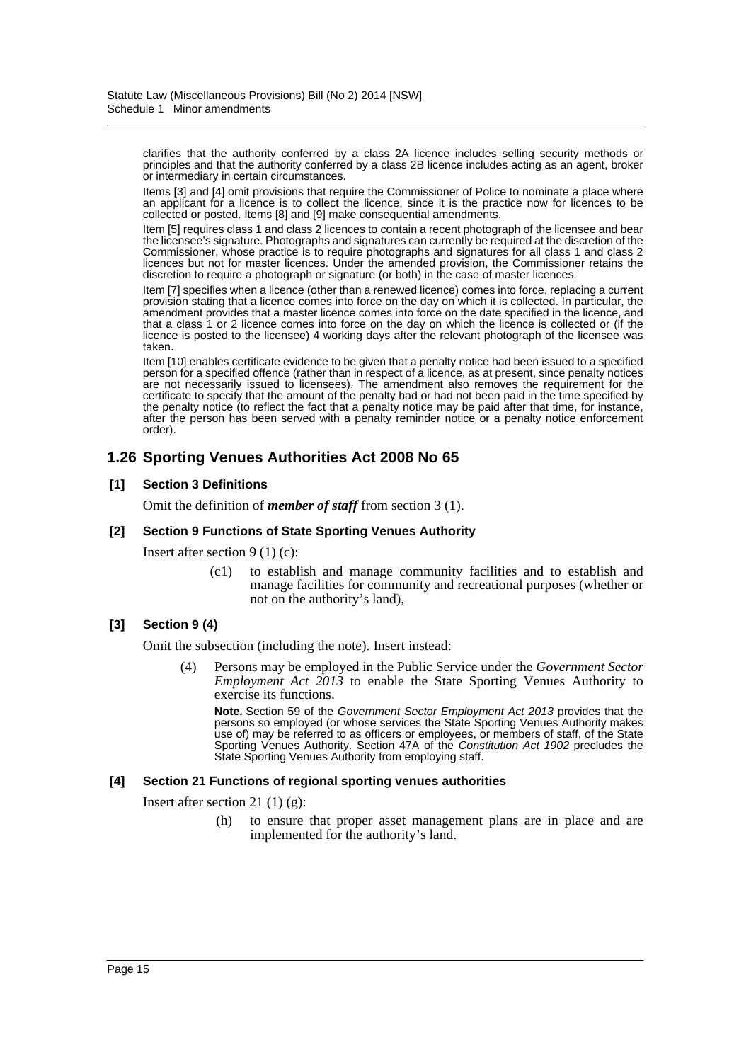clarifies that the authority conferred by a class 2A licence includes selling security methods or principles and that the authority conferred by a class 2B licence includes acting as an agent, broker or intermediary in certain circumstances.

Items [3] and [4] omit provisions that require the Commissioner of Police to nominate a place where an applicant for a licence is to collect the licence, since it is the practice now for licences to be collected or posted. Items [8] and [9] make consequential amendments.

Item [5] requires class 1 and class 2 licences to contain a recent photograph of the licensee and bear the licensee's signature. Photographs and signatures can currently be required at the discretion of the Commissioner, whose practice is to require photographs and signatures for all class 1 and class 2 licences but not for master licences. Under the amended provision, the Commissioner retains the discretion to require a photograph or signature (or both) in the case of master licences.

Item [7] specifies when a licence (other than a renewed licence) comes into force, replacing a current provision stating that a licence comes into force on the day on which it is collected. In particular, the amendment provides that a master licence comes into force on the date specified in the licence, and that a class 1 or 2 licence comes into force on the day on which the licence is collected or (if the licence is posted to the licensee) 4 working days after the relevant photograph of the licensee was taken.

Item [10] enables certificate evidence to be given that a penalty notice had been issued to a specified person for a specified offence (rather than in respect of a licence, as at present, since penalty notices are not necessarily issued to licensees). The amendment also removes the requirement for the certificate to specify that the amount of the penalty had or had not been paid in the time specified by the penalty notice (to reflect the fact that a penalty notice may be paid after that time, for instance, after the person has been served with a penalty reminder notice or a penalty notice enforcement order).

# **1.26 Sporting Venues Authorities Act 2008 No 65**

### **[1] Section 3 Definitions**

Omit the definition of *member of staff* from section 3 (1).

#### **[2] Section 9 Functions of State Sporting Venues Authority**

Insert after section 9 (1) (c):

(c1) to establish and manage community facilities and to establish and manage facilities for community and recreational purposes (whether or not on the authority's land),

#### **[3] Section 9 (4)**

Omit the subsection (including the note). Insert instead:

(4) Persons may be employed in the Public Service under the *Government Sector Employment Act 2013* to enable the State Sporting Venues Authority to exercise its functions.

**Note.** Section 59 of the *Government Sector Employment Act 2013* provides that the persons so employed (or whose services the State Sporting Venues Authority makes use of) may be referred to as officers or employees, or members of staff, of the State Sporting Venues Authority. Section 47A of the *Constitution Act 1902* precludes the State Sporting Venues Authority from employing staff.

#### **[4] Section 21 Functions of regional sporting venues authorities**

Insert after section 21 (1) (g):

(h) to ensure that proper asset management plans are in place and are implemented for the authority's land.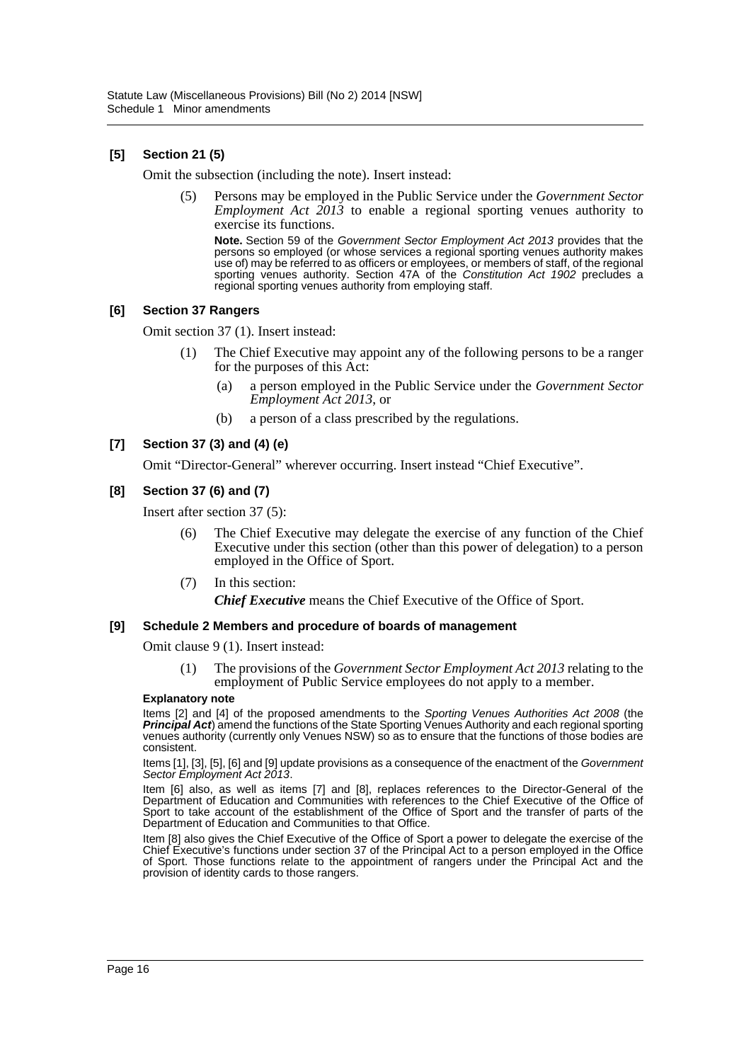## **[5] Section 21 (5)**

Omit the subsection (including the note). Insert instead:

(5) Persons may be employed in the Public Service under the *Government Sector Employment Act 2013* to enable a regional sporting venues authority to exercise its functions.

**Note.** Section 59 of the *Government Sector Employment Act 2013* provides that the persons so employed (or whose services a regional sporting venues authority makes use of) may be referred to as officers or employees, or members of staff, of the regional sporting venues authority. Section 47A of the *Constitution Act 1902* precludes a regional sporting venues authority from employing staff.

#### **[6] Section 37 Rangers**

Omit section 37 (1). Insert instead:

- The Chief Executive may appoint any of the following persons to be a ranger for the purposes of this Act:
	- (a) a person employed in the Public Service under the *Government Sector Employment Act 2013*, or
	- (b) a person of a class prescribed by the regulations.

#### **[7] Section 37 (3) and (4) (e)**

Omit "Director-General" wherever occurring. Insert instead "Chief Executive".

#### **[8] Section 37 (6) and (7)**

Insert after section 37 (5):

- (6) The Chief Executive may delegate the exercise of any function of the Chief Executive under this section (other than this power of delegation) to a person employed in the Office of Sport.
- (7) In this section: *Chief Executive* means the Chief Executive of the Office of Sport.

#### **[9] Schedule 2 Members and procedure of boards of management**

Omit clause 9 (1). Insert instead:

(1) The provisions of the *Government Sector Employment Act 2013* relating to the employment of Public Service employees do not apply to a member.

#### **Explanatory note**

Items [2] and [4] of the proposed amendments to the *Sporting Venues Authorities Act 2008* (the *Principal Act*) amend the functions of the State Sporting Venues Authority and each regional sporting venues authority (currently only Venues NSW) so as to ensure that the functions of those bodies are consistent.

Items [1], [3], [5], [6] and [9] update provisions as a consequence of the enactment of the *Government Sector Employment Act 2013*.

Item [6] also, as well as items [7] and [8], replaces references to the Director-General of the Department of Education and Communities with references to the Chief Executive of the Office of Sport to take account of the establishment of the Office of Sport and the transfer of parts of the Department of Education and Communities to that Office.

Item [8] also gives the Chief Executive of the Office of Sport a power to delegate the exercise of the Chief Executive's functions under section 37 of the Principal Act to a person employed in the Office of Sport. Those functions relate to the appointment of rangers under the Principal Act and the provision of identity cards to those rangers.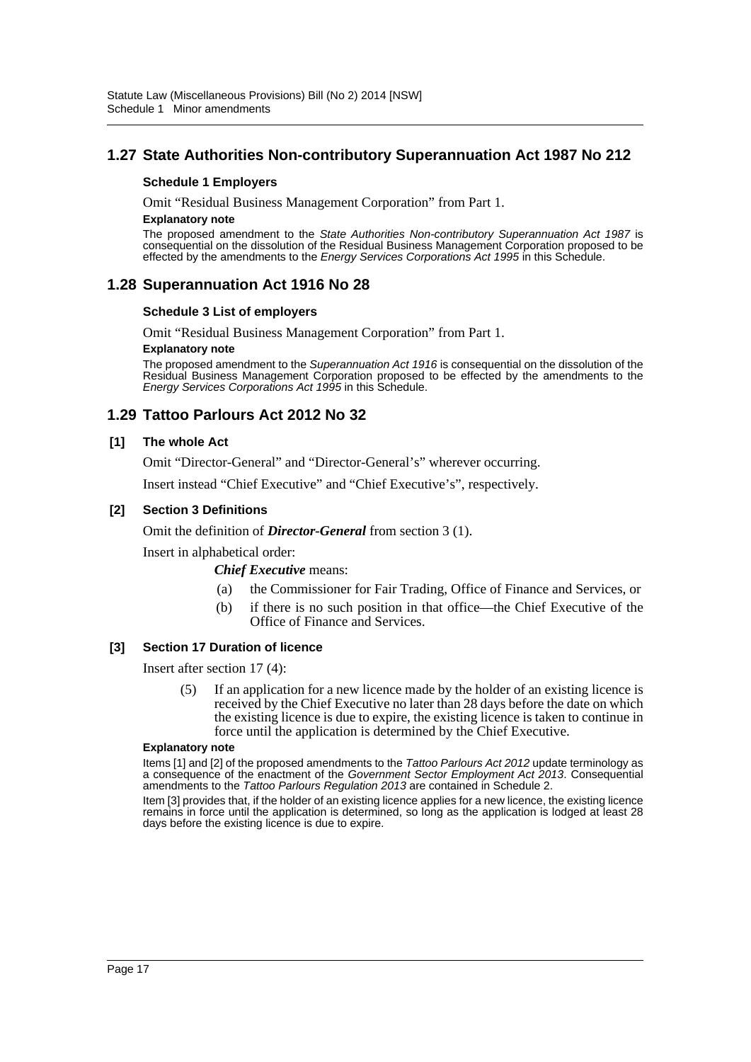# **1.27 State Authorities Non-contributory Superannuation Act 1987 No 212**

#### **Schedule 1 Employers**

Omit "Residual Business Management Corporation" from Part 1.

#### **Explanatory note**

The proposed amendment to the *State Authorities Non-contributory Superannuation Act 1987* is consequential on the dissolution of the Residual Business Management Corporation proposed to be effected by the amendments to the *Energy Services Corporations Act 1995* in this Schedule.

# **1.28 Superannuation Act 1916 No 28**

#### **Schedule 3 List of employers**

Omit "Residual Business Management Corporation" from Part 1.

#### **Explanatory note**

The proposed amendment to the *Superannuation Act 1916* is consequential on the dissolution of the Residual Business Management Corporation proposed to be effected by the amendments to the *Energy Services Corporations Act 1995* in this Schedule.

# **1.29 Tattoo Parlours Act 2012 No 32**

#### **[1] The whole Act**

Omit "Director-General" and "Director-General's" wherever occurring.

Insert instead "Chief Executive" and "Chief Executive's", respectively.

#### **[2] Section 3 Definitions**

Omit the definition of *Director-General* from section 3 (1).

Insert in alphabetical order:

*Chief Executive* means:

- (a) the Commissioner for Fair Trading, Office of Finance and Services, or
- (b) if there is no such position in that office—the Chief Executive of the Office of Finance and Services.

#### **[3] Section 17 Duration of licence**

Insert after section 17 (4):

(5) If an application for a new licence made by the holder of an existing licence is received by the Chief Executive no later than 28 days before the date on which the existing licence is due to expire, the existing licence is taken to continue in force until the application is determined by the Chief Executive.

#### **Explanatory note**

Items [1] and [2] of the proposed amendments to the *Tattoo Parlours Act 2012* update terminology as a consequence of the enactment of the *Government Sector Employment Act 2013*. Consequential amendments to the *Tattoo Parlours Regulation 2013* are contained in Schedule 2.

Item [3] provides that, if the holder of an existing licence applies for a new licence, the existing licence remains in force until the application is determined, so long as the application is lodged at least 28 days before the existing licence is due to expire.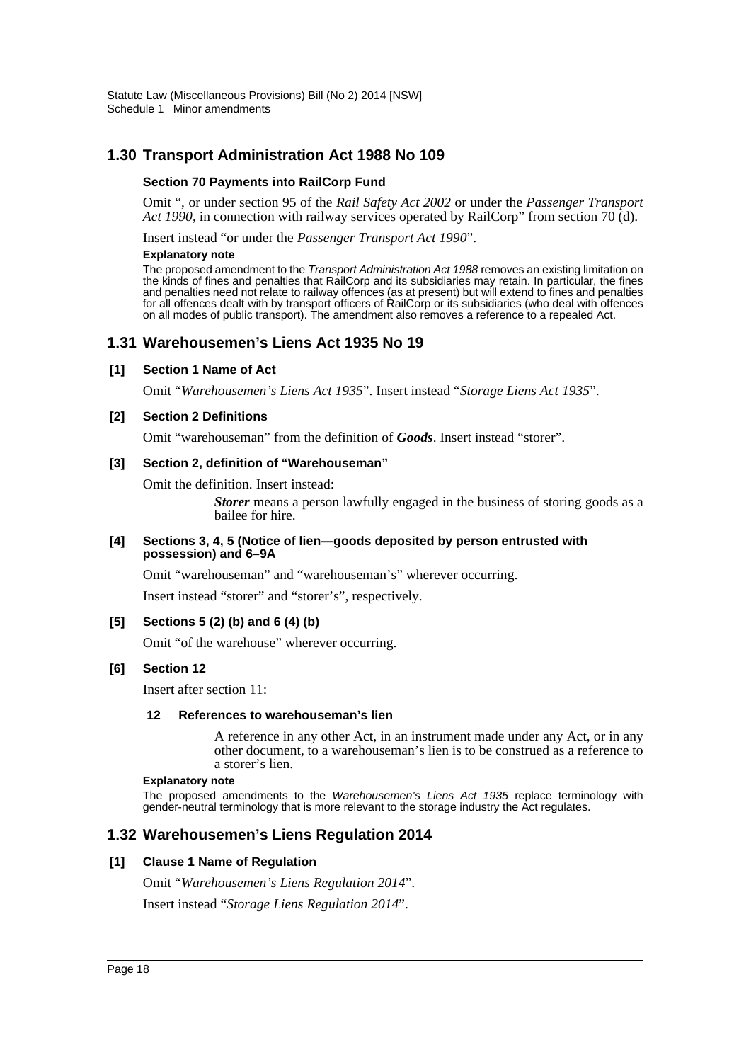# **1.30 Transport Administration Act 1988 No 109**

#### **Section 70 Payments into RailCorp Fund**

Omit ", or under section 95 of the *Rail Safety Act 2002* or under the *Passenger Transport Act 1990*, in connection with railway services operated by RailCorp" from section 70 (d).

Insert instead "or under the *Passenger Transport Act 1990*".

#### **Explanatory note**

The proposed amendment to the *Transport Administration Act 1988* removes an existing limitation on the kinds of fines and penalties that RailCorp and its subsidiaries may retain. In particular, the fines and penalties need not relate to railway offences (as at present) but will extend to fines and penalties for all offences dealt with by transport officers of RailCorp or its subsidiaries (who deal with offences on all modes of public transport). The amendment also removes a reference to a repealed Act.

### **1.31 Warehousemen's Liens Act 1935 No 19**

#### **[1] Section 1 Name of Act**

Omit "*Warehousemen's Liens Act 1935*". Insert instead "*Storage Liens Act 1935*".

#### **[2] Section 2 Definitions**

Omit "warehouseman" from the definition of *Goods*. Insert instead "storer".

#### **[3] Section 2, definition of "Warehouseman"**

Omit the definition. Insert instead:

*Storer* means a person lawfully engaged in the business of storing goods as a bailee for hire.

#### **[4] Sections 3, 4, 5 (Notice of lien—goods deposited by person entrusted with possession) and 6–9A**

Omit "warehouseman" and "warehouseman's" wherever occurring.

Insert instead "storer" and "storer's", respectively.

#### **[5] Sections 5 (2) (b) and 6 (4) (b)**

Omit "of the warehouse" wherever occurring.

#### **[6] Section 12**

Insert after section 11:

#### **12 References to warehouseman's lien**

A reference in any other Act, in an instrument made under any Act, or in any other document, to a warehouseman's lien is to be construed as a reference to a storer's lien.

#### **Explanatory note**

The proposed amendments to the *Warehousemen's Liens Act 1935* replace terminology with gender-neutral terminology that is more relevant to the storage industry the Act regulates.

### **1.32 Warehousemen's Liens Regulation 2014**

#### **[1] Clause 1 Name of Regulation**

Omit "*Warehousemen's Liens Regulation 2014*".

Insert instead "*Storage Liens Regulation 2014*".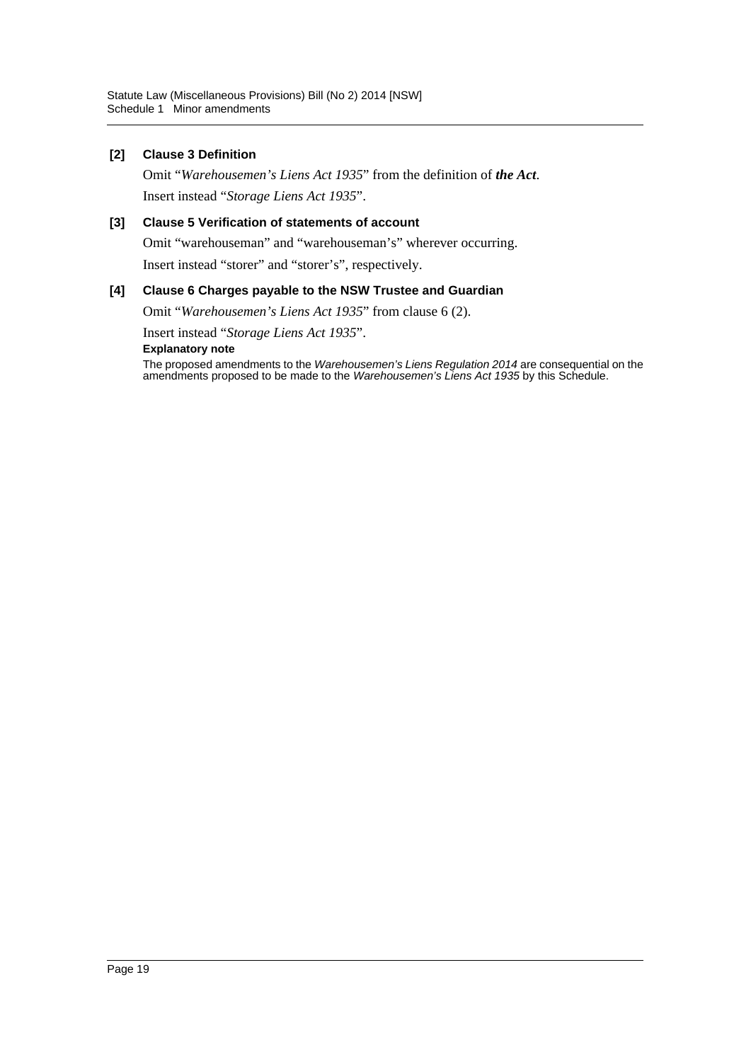### **[2] Clause 3 Definition**

Omit "*Warehousemen's Liens Act 1935*" from the definition of *the Act*. Insert instead "*Storage Liens Act 1935*".

### **[3] Clause 5 Verification of statements of account**

Omit "warehouseman" and "warehouseman's" wherever occurring.

Insert instead "storer" and "storer's", respectively.

#### **[4] Clause 6 Charges payable to the NSW Trustee and Guardian**

Omit "*Warehousemen's Liens Act 1935*" from clause 6 (2).

Insert instead "*Storage Liens Act 1935*".

**Explanatory note**

The proposed amendments to the *Warehousemen's Liens Regulation 2014* are consequential on the amendments proposed to be made to the *Warehousemen's Liens Act 1935* by this Schedule.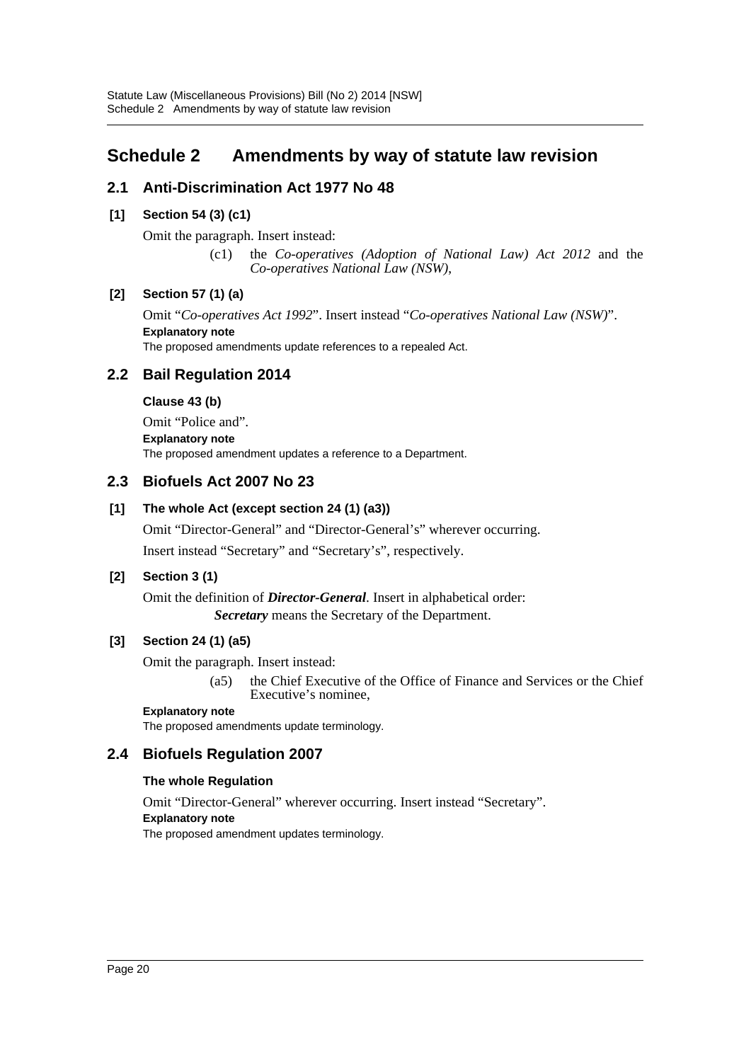# <span id="page-20-0"></span>**Schedule 2 Amendments by way of statute law revision**

# **2.1 Anti-Discrimination Act 1977 No 48**

## **[1] Section 54 (3) (c1)**

Omit the paragraph. Insert instead:

(c1) the *Co-operatives (Adoption of National Law) Act 2012* and the *Co-operatives National Law (NSW)*,

### **[2] Section 57 (1) (a)**

Omit "*Co-operatives Act 1992*". Insert instead "*Co-operatives National Law (NSW)*". **Explanatory note** The proposed amendments update references to a repealed Act.

# **2.2 Bail Regulation 2014**

### **Clause 43 (b)**

Omit "Police and". **Explanatory note** The proposed amendment updates a reference to a Department.

# **2.3 Biofuels Act 2007 No 23**

### **[1] The whole Act (except section 24 (1) (a3))**

Omit "Director-General" and "Director-General's" wherever occurring. Insert instead "Secretary" and "Secretary's", respectively.

### **[2] Section 3 (1)**

Omit the definition of *Director-General*. Insert in alphabetical order: *Secretary* means the Secretary of the Department.

### **[3] Section 24 (1) (a5)**

Omit the paragraph. Insert instead:

(a5) the Chief Executive of the Office of Finance and Services or the Chief Executive's nominee,

#### **Explanatory note**

The proposed amendments update terminology.

### **2.4 Biofuels Regulation 2007**

#### **The whole Regulation**

Omit "Director-General" wherever occurring. Insert instead "Secretary".

#### **Explanatory note**

The proposed amendment updates terminology.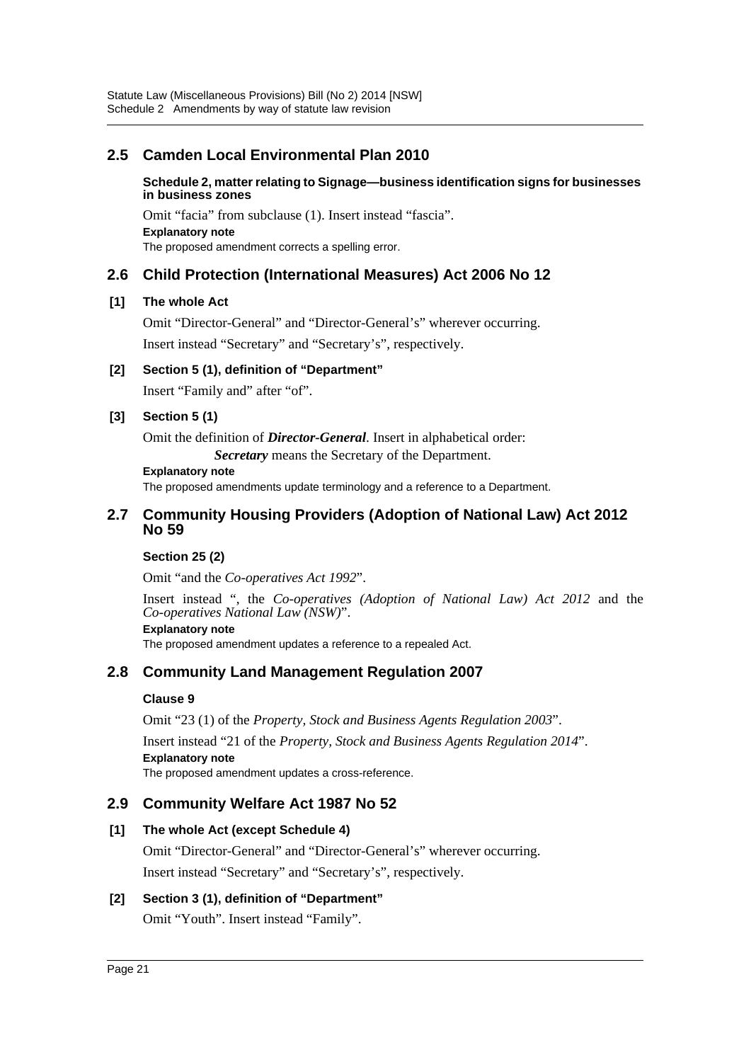# **2.5 Camden Local Environmental Plan 2010**

**Schedule 2, matter relating to Signage—business identification signs for businesses in business zones**

Omit "facia" from subclause (1). Insert instead "fascia". **Explanatory note** The proposed amendment corrects a spelling error.

# **2.6 Child Protection (International Measures) Act 2006 No 12**

# **[1] The whole Act**

Omit "Director-General" and "Director-General's" wherever occurring.

Insert instead "Secretary" and "Secretary's", respectively.

# **[2] Section 5 (1), definition of "Department"**

Insert "Family and" after "of".

### **[3] Section 5 (1)**

Omit the definition of *Director-General*. Insert in alphabetical order:

*Secretary* means the Secretary of the Department.

#### **Explanatory note**

The proposed amendments update terminology and a reference to a Department.

### **2.7 Community Housing Providers (Adoption of National Law) Act 2012 No 59**

#### **Section 25 (2)**

Omit "and the *Co-operatives Act 1992*".

Insert instead ", the *Co-operatives (Adoption of National Law) Act 2012* and the *Co-operatives National Law (NSW)*".

#### **Explanatory note**

The proposed amendment updates a reference to a repealed Act.

# **2.8 Community Land Management Regulation 2007**

### **Clause 9**

Omit "23 (1) of the *Property, Stock and Business Agents Regulation 2003*".

Insert instead "21 of the *Property, Stock and Business Agents Regulation 2014*". **Explanatory note**

The proposed amendment updates a cross-reference.

# **2.9 Community Welfare Act 1987 No 52**

### **[1] The whole Act (except Schedule 4)**

Omit "Director-General" and "Director-General's" wherever occurring. Insert instead "Secretary" and "Secretary's", respectively.

### **[2] Section 3 (1), definition of "Department"**

Omit "Youth". Insert instead "Family".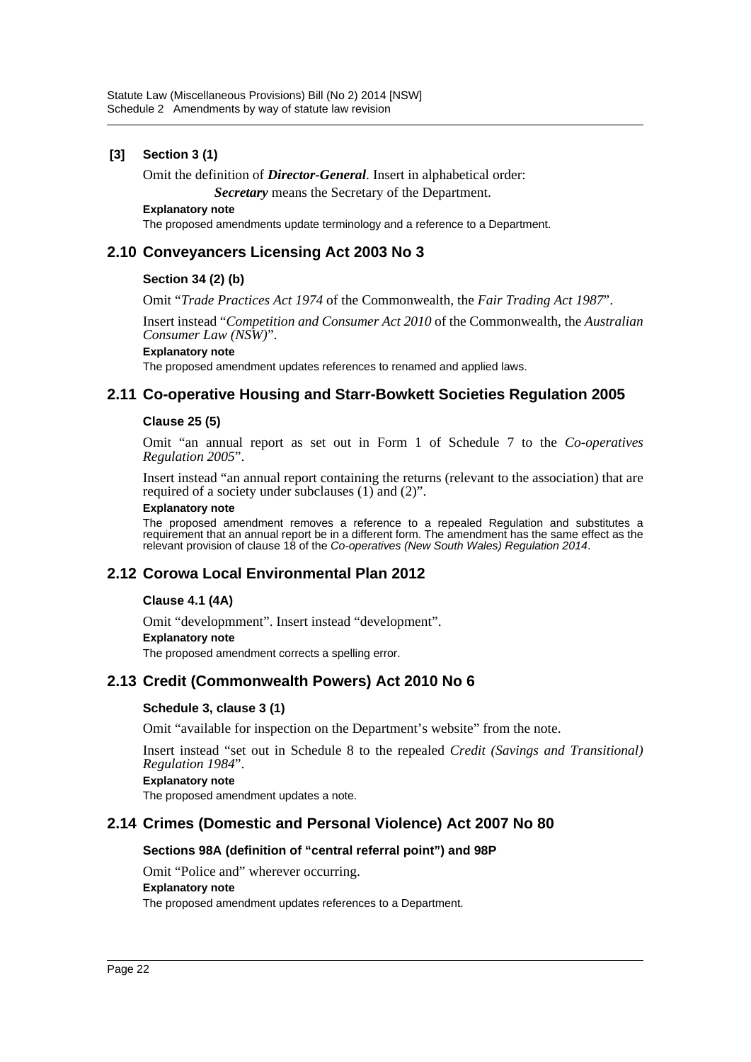### **[3] Section 3 (1)**

Omit the definition of *Director-General*. Insert in alphabetical order:

*Secretary* means the Secretary of the Department.

#### **Explanatory note**

The proposed amendments update terminology and a reference to a Department.

# **2.10 Conveyancers Licensing Act 2003 No 3**

### **Section 34 (2) (b)**

Omit "*Trade Practices Act 1974* of the Commonwealth, the *Fair Trading Act 1987*".

Insert instead "*Competition and Consumer Act 2010* of the Commonwealth, the *Australian Consumer Law (NSW)*".

#### **Explanatory note**

The proposed amendment updates references to renamed and applied laws.

### **2.11 Co-operative Housing and Starr-Bowkett Societies Regulation 2005**

#### **Clause 25 (5)**

Omit "an annual report as set out in Form 1 of Schedule 7 to the *Co-operatives Regulation 2005*".

Insert instead "an annual report containing the returns (relevant to the association) that are required of a society under subclauses (1) and (2)".

#### **Explanatory note**

The proposed amendment removes a reference to a repealed Regulation and substitutes a requirement that an annual report be in a different form. The amendment has the same effect as the relevant provision of clause 18 of the *Co-operatives (New South Wales) Regulation 2014*.

### **2.12 Corowa Local Environmental Plan 2012**

#### **Clause 4.1 (4A)**

Omit "developmment". Insert instead "development". **Explanatory note**

The proposed amendment corrects a spelling error.

# **2.13 Credit (Commonwealth Powers) Act 2010 No 6**

#### **Schedule 3, clause 3 (1)**

Omit "available for inspection on the Department's website" from the note.

Insert instead "set out in Schedule 8 to the repealed *Credit (Savings and Transitional) Regulation 1984*".

#### **Explanatory note**

The proposed amendment updates a note.

### **2.14 Crimes (Domestic and Personal Violence) Act 2007 No 80**

#### **Sections 98A (definition of "central referral point") and 98P**

Omit "Police and" wherever occurring.

#### **Explanatory note**

The proposed amendment updates references to a Department.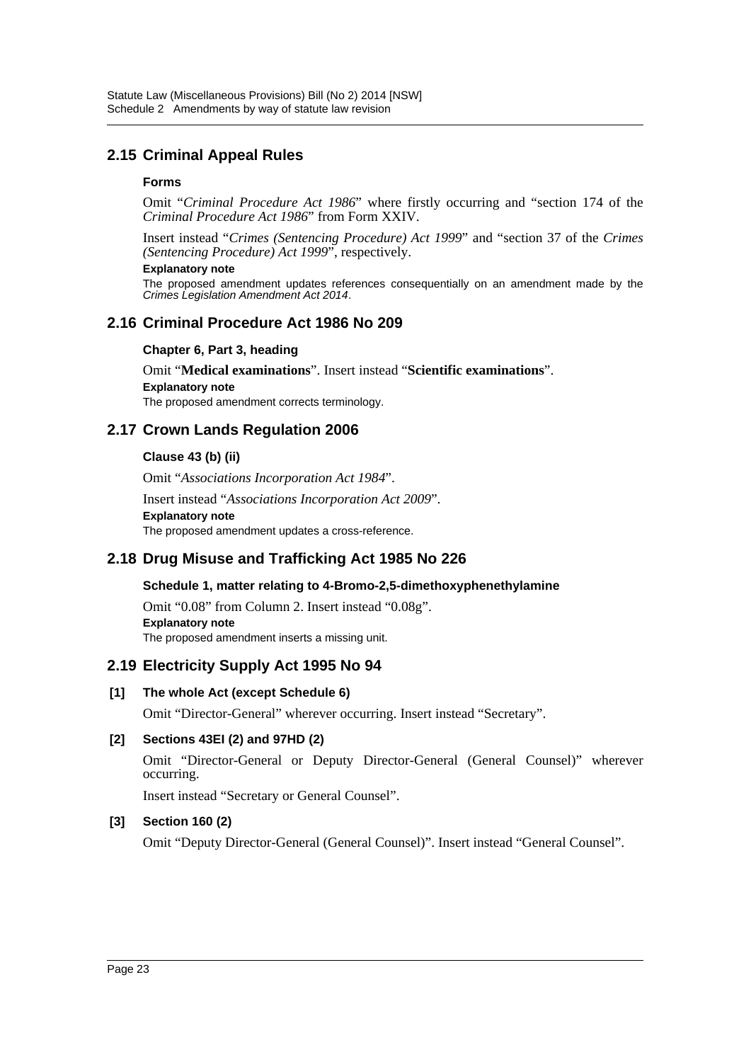# **2.15 Criminal Appeal Rules**

### **Forms**

Omit "*Criminal Procedure Act 1986*" where firstly occurring and "section 174 of the *Criminal Procedure Act 1986*" from Form XXIV.

Insert instead "*Crimes (Sentencing Procedure) Act 1999*" and "section 37 of the *Crimes (Sentencing Procedure) Act 1999*", respectively.

#### **Explanatory note**

The proposed amendment updates references consequentially on an amendment made by the *Crimes Legislation Amendment Act 2014*.

# **2.16 Criminal Procedure Act 1986 No 209**

### **Chapter 6, Part 3, heading**

Omit "**Medical examinations**". Insert instead "**Scientific examinations**". **Explanatory note** The proposed amendment corrects terminology.

# **2.17 Crown Lands Regulation 2006**

### **Clause 43 (b) (ii)**

Omit "*Associations Incorporation Act 1984*".

Insert instead "*Associations Incorporation Act 2009*". **Explanatory note** The proposed amendment updates a cross-reference.

# **2.18 Drug Misuse and Trafficking Act 1985 No 226**

### **Schedule 1, matter relating to 4-Bromo-2,5-dimethoxyphenethylamine**

Omit "0.08" from Column 2. Insert instead "0.08g". **Explanatory note** The proposed amendment inserts a missing unit.

# **2.19 Electricity Supply Act 1995 No 94**

#### **[1] The whole Act (except Schedule 6)**

Omit "Director-General" wherever occurring. Insert instead "Secretary".

### **[2] Sections 43EI (2) and 97HD (2)**

Omit "Director-General or Deputy Director-General (General Counsel)" wherever occurring.

Insert instead "Secretary or General Counsel".

### **[3] Section 160 (2)**

Omit "Deputy Director-General (General Counsel)". Insert instead "General Counsel".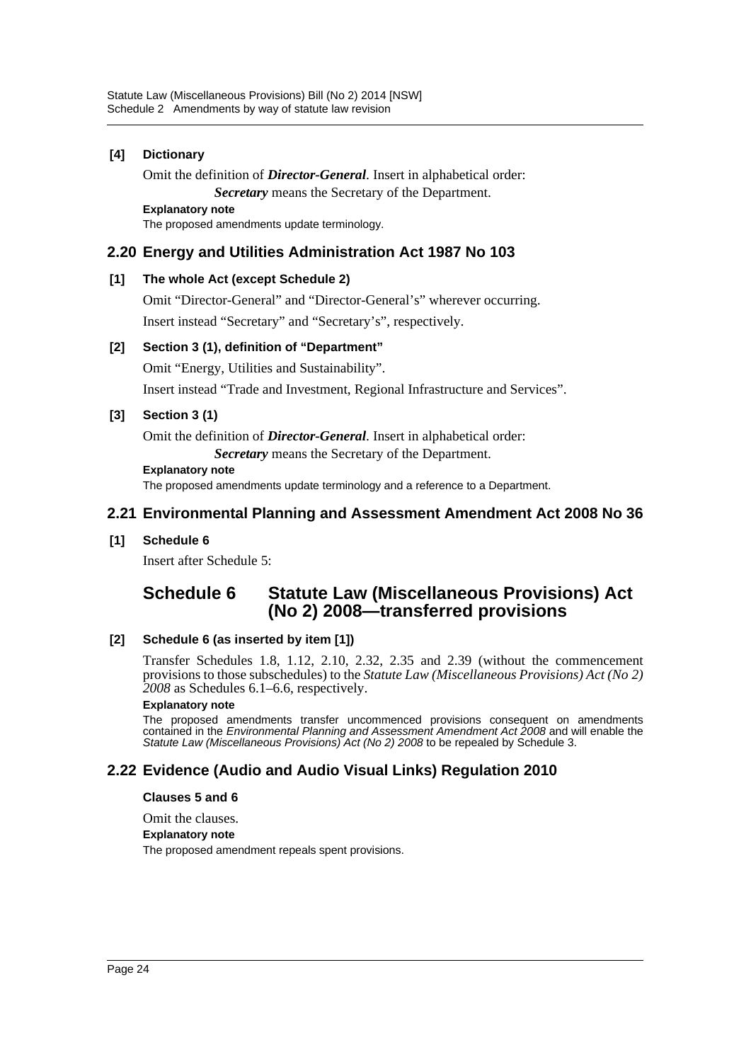### **[4] Dictionary**

Omit the definition of *Director-General*. Insert in alphabetical order: *Secretary* means the Secretary of the Department.

**Explanatory note**

The proposed amendments update terminology.

# **2.20 Energy and Utilities Administration Act 1987 No 103**

### **[1] The whole Act (except Schedule 2)**

Omit "Director-General" and "Director-General's" wherever occurring.

Insert instead "Secretary" and "Secretary's", respectively.

### **[2] Section 3 (1), definition of "Department"**

Omit "Energy, Utilities and Sustainability".

Insert instead "Trade and Investment, Regional Infrastructure and Services".

### **[3] Section 3 (1)**

Omit the definition of *Director-General*. Insert in alphabetical order:

*Secretary* means the Secretary of the Department.

#### **Explanatory note**

The proposed amendments update terminology and a reference to a Department.

# **2.21 Environmental Planning and Assessment Amendment Act 2008 No 36**

#### **[1] Schedule 6**

Insert after Schedule 5:

# **Schedule 6 Statute Law (Miscellaneous Provisions) Act (No 2) 2008—transferred provisions**

### **[2] Schedule 6 (as inserted by item [1])**

Transfer Schedules 1.8, 1.12, 2.10, 2.32, 2.35 and 2.39 (without the commencement provisions to those subschedules) to the *Statute Law (Miscellaneous Provisions) Act (No 2) 2008* as Schedules 6.1–6.6, respectively.

#### **Explanatory note**

The proposed amendments transfer uncommenced provisions consequent on amendments contained in the *Environmental Planning and Assessment Amendment Act 2008* and will enable the *Statute Law (Miscellaneous Provisions) Act (No 2) 2008* to be repealed by Schedule 3.

# **2.22 Evidence (Audio and Audio Visual Links) Regulation 2010**

#### **Clauses 5 and 6**

Omit the clauses.

**Explanatory note**

The proposed amendment repeals spent provisions.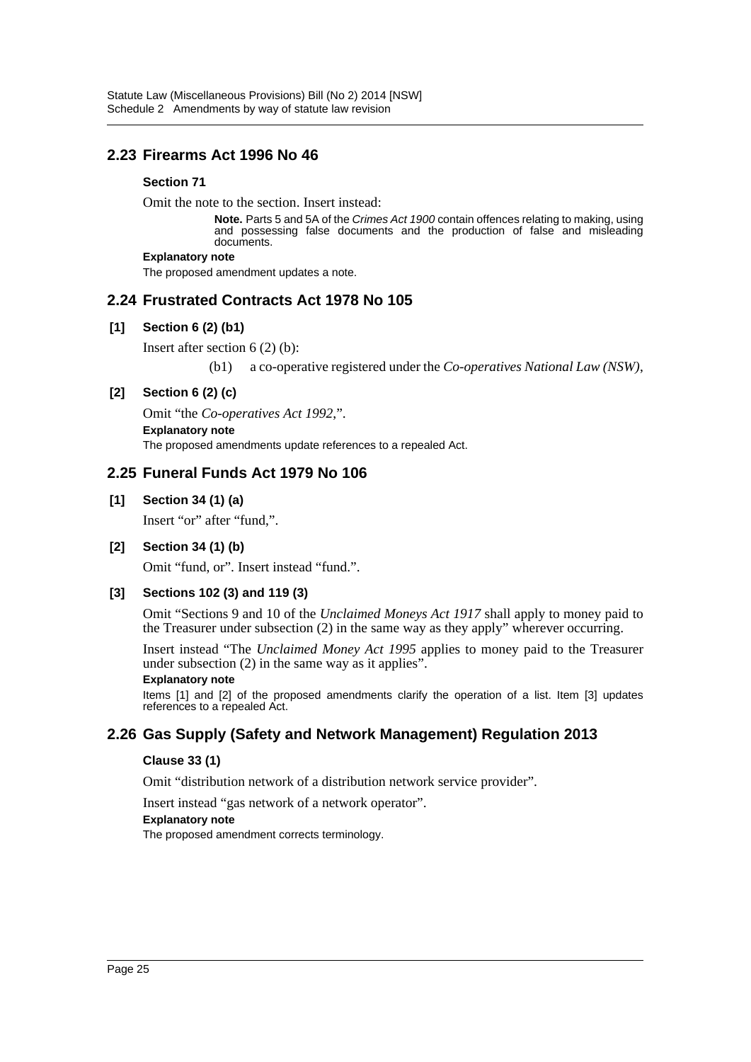# **2.23 Firearms Act 1996 No 46**

### **Section 71**

Omit the note to the section. Insert instead:

**Note.** Parts 5 and 5A of the *Crimes Act 1900* contain offences relating to making, using and possessing false documents and the production of false and misleading documents.

#### **Explanatory note**

The proposed amendment updates a note.

# **2.24 Frustrated Contracts Act 1978 No 105**

### **[1] Section 6 (2) (b1)**

Insert after section 6 (2) (b):

(b1) a co-operative registered under the *Co-operatives National Law (NSW)*,

### **[2] Section 6 (2) (c)**

Omit "the *Co-operatives Act 1992*,". **Explanatory note** The proposed amendments update references to a repealed Act.

# **2.25 Funeral Funds Act 1979 No 106**

**[1] Section 34 (1) (a)**

Insert "or" after "fund,".

#### **[2] Section 34 (1) (b)**

Omit "fund, or". Insert instead "fund.".

### **[3] Sections 102 (3) and 119 (3)**

Omit "Sections 9 and 10 of the *Unclaimed Moneys Act 1917* shall apply to money paid to the Treasurer under subsection (2) in the same way as they apply" wherever occurring.

Insert instead "The *Unclaimed Money Act 1995* applies to money paid to the Treasurer under subsection (2) in the same way as it applies".

#### **Explanatory note**

Items [1] and [2] of the proposed amendments clarify the operation of a list. Item [3] updates references to a repealed Act.

# **2.26 Gas Supply (Safety and Network Management) Regulation 2013**

#### **Clause 33 (1)**

Omit "distribution network of a distribution network service provider".

Insert instead "gas network of a network operator".

#### **Explanatory note**

The proposed amendment corrects terminology.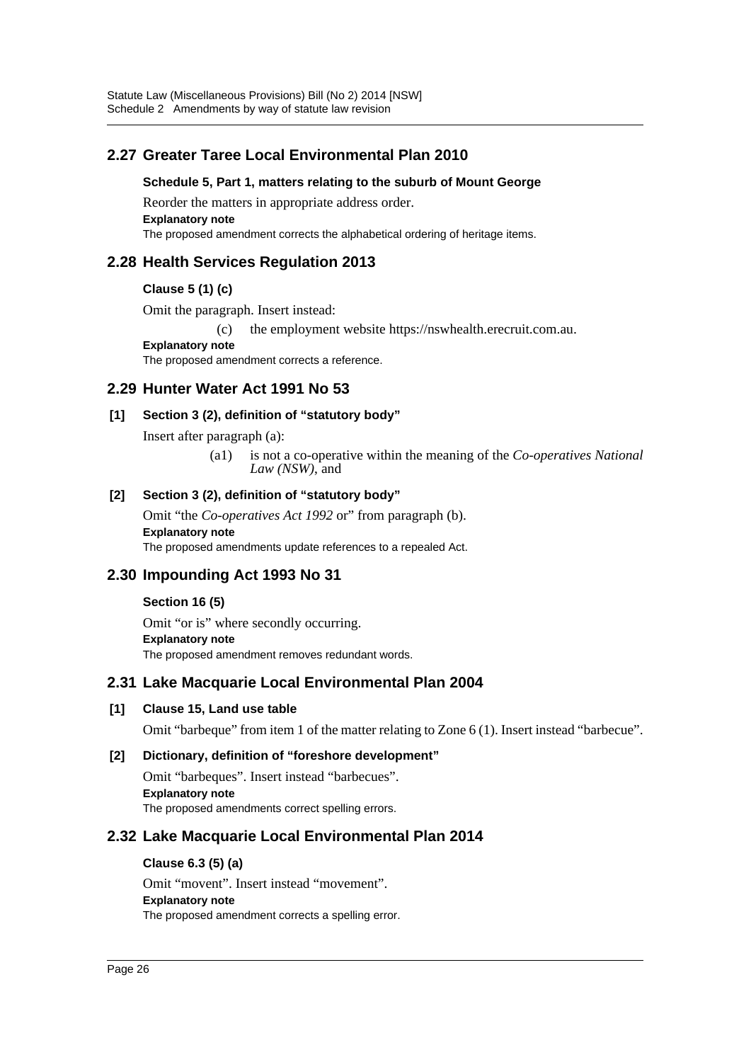# **2.27 Greater Taree Local Environmental Plan 2010**

#### **Schedule 5, Part 1, matters relating to the suburb of Mount George**

Reorder the matters in appropriate address order. **Explanatory note** The proposed amendment corrects the alphabetical ordering of heritage items.

# **2.28 Health Services Regulation 2013**

### **Clause 5 (1) (c)**

Omit the paragraph. Insert instead:

(c) the employment website https://nswhealth.erecruit.com.au.

**Explanatory note** The proposed amendment corrects a reference.

# **2.29 Hunter Water Act 1991 No 53**

### **[1] Section 3 (2), definition of "statutory body"**

Insert after paragraph (a):

(a1) is not a co-operative within the meaning of the *Co-operatives National Law (NSW)*, and

### **[2] Section 3 (2), definition of "statutory body"**

Omit "the *Co-operatives Act 1992* or" from paragraph (b). **Explanatory note** The proposed amendments update references to a repealed Act.

# **2.30 Impounding Act 1993 No 31**

### **Section 16 (5)**

Omit "or is" where secondly occurring. **Explanatory note** The proposed amendment removes redundant words.

### **2.31 Lake Macquarie Local Environmental Plan 2004**

#### **[1] Clause 15, Land use table**

Omit "barbeque" from item 1 of the matter relating to Zone 6 (1). Insert instead "barbecue".

#### **[2] Dictionary, definition of "foreshore development"**

Omit "barbeques". Insert instead "barbecues". **Explanatory note** The proposed amendments correct spelling errors.

# **2.32 Lake Macquarie Local Environmental Plan 2014**

#### **Clause 6.3 (5) (a)**

Omit "movent". Insert instead "movement". **Explanatory note** The proposed amendment corrects a spelling error.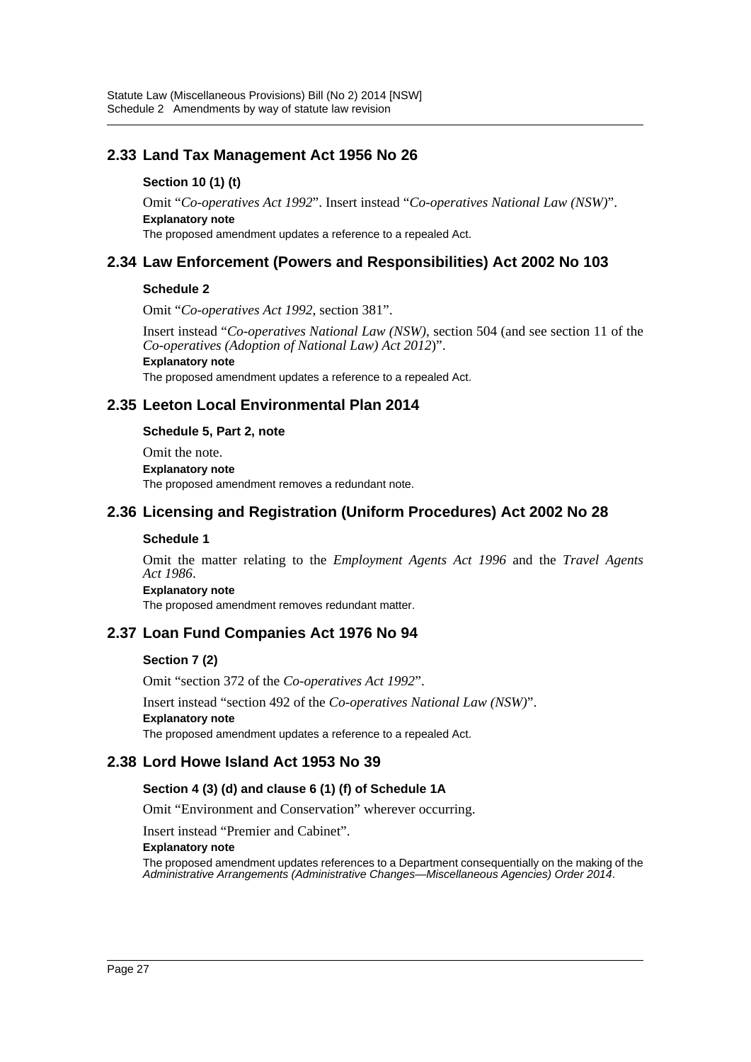# **2.33 Land Tax Management Act 1956 No 26**

### **Section 10 (1) (t)**

Omit "*Co-operatives Act 1992*". Insert instead "*Co-operatives National Law (NSW)*". **Explanatory note**

The proposed amendment updates a reference to a repealed Act.

# **2.34 Law Enforcement (Powers and Responsibilities) Act 2002 No 103**

### **Schedule 2**

Omit "*Co-operatives Act 1992*, section 381".

Insert instead "*Co-operatives National Law (NSW)*, section 504 (and see section 11 of the *Co-operatives (Adoption of National Law) Act 2012*)".

**Explanatory note**

The proposed amendment updates a reference to a repealed Act.

# **2.35 Leeton Local Environmental Plan 2014**

**Schedule 5, Part 2, note**

Omit the note. **Explanatory note** The proposed amendment removes a redundant note.

# **2.36 Licensing and Registration (Uniform Procedures) Act 2002 No 28**

#### **Schedule 1**

Omit the matter relating to the *Employment Agents Act 1996* and the *Travel Agents Act 1986*.

**Explanatory note**

The proposed amendment removes redundant matter.

# **2.37 Loan Fund Companies Act 1976 No 94**

#### **Section 7 (2)**

Omit "section 372 of the *Co-operatives Act 1992*".

Insert instead "section 492 of the *Co-operatives National Law (NSW)*". **Explanatory note**

The proposed amendment updates a reference to a repealed Act.

### **2.38 Lord Howe Island Act 1953 No 39**

#### **Section 4 (3) (d) and clause 6 (1) (f) of Schedule 1A**

Omit "Environment and Conservation" wherever occurring.

Insert instead "Premier and Cabinet".

**Explanatory note**

The proposed amendment updates references to a Department consequentially on the making of the *Administrative Arrangements (Administrative Changes—Miscellaneous Agencies) Order 2014*.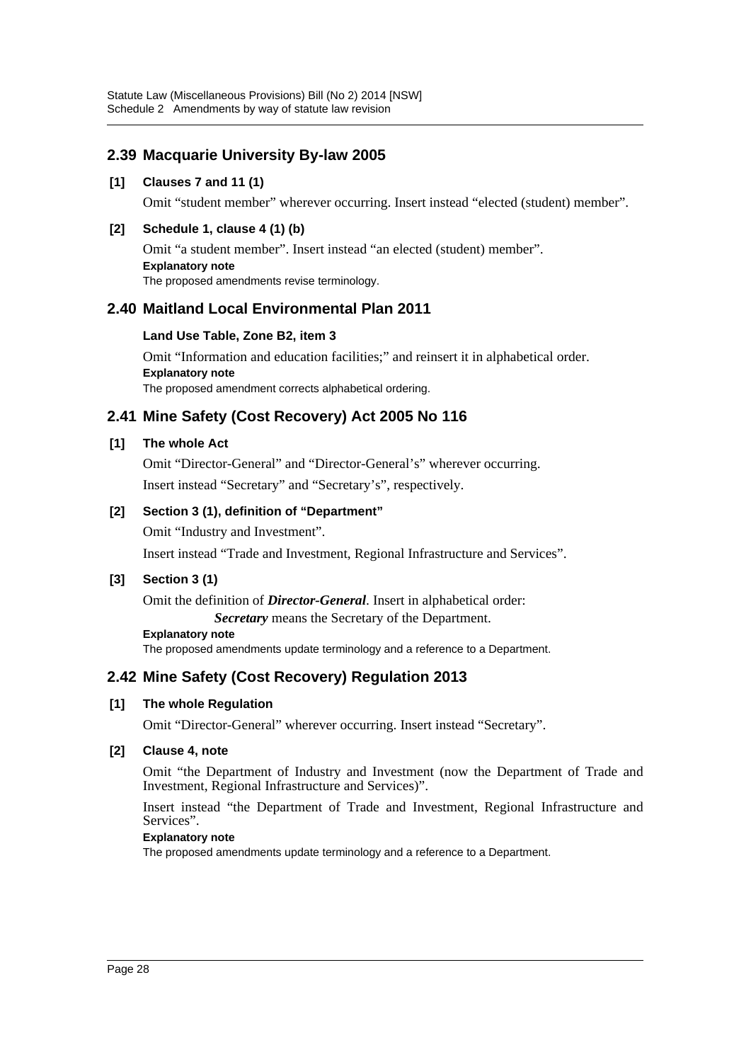# **2.39 Macquarie University By-law 2005**

### **[1] Clauses 7 and 11 (1)**

Omit "student member" wherever occurring. Insert instead "elected (student) member".

### **[2] Schedule 1, clause 4 (1) (b)**

Omit "a student member". Insert instead "an elected (student) member". **Explanatory note** The proposed amendments revise terminology.

# **2.40 Maitland Local Environmental Plan 2011**

#### **Land Use Table, Zone B2, item 3**

Omit "Information and education facilities;" and reinsert it in alphabetical order. **Explanatory note** The proposed amendment corrects alphabetical ordering.

# **2.41 Mine Safety (Cost Recovery) Act 2005 No 116**

### **[1] The whole Act**

Omit "Director-General" and "Director-General's" wherever occurring. Insert instead "Secretary" and "Secretary's", respectively.

### **[2] Section 3 (1), definition of "Department"**

Omit "Industry and Investment".

Insert instead "Trade and Investment, Regional Infrastructure and Services".

#### **[3] Section 3 (1)**

Omit the definition of *Director-General*. Insert in alphabetical order:

*Secretary* means the Secretary of the Department.

**Explanatory note**

The proposed amendments update terminology and a reference to a Department.

# **2.42 Mine Safety (Cost Recovery) Regulation 2013**

### **[1] The whole Regulation**

Omit "Director-General" wherever occurring. Insert instead "Secretary".

#### **[2] Clause 4, note**

Omit "the Department of Industry and Investment (now the Department of Trade and Investment, Regional Infrastructure and Services)".

Insert instead "the Department of Trade and Investment, Regional Infrastructure and Services".

#### **Explanatory note**

The proposed amendments update terminology and a reference to a Department.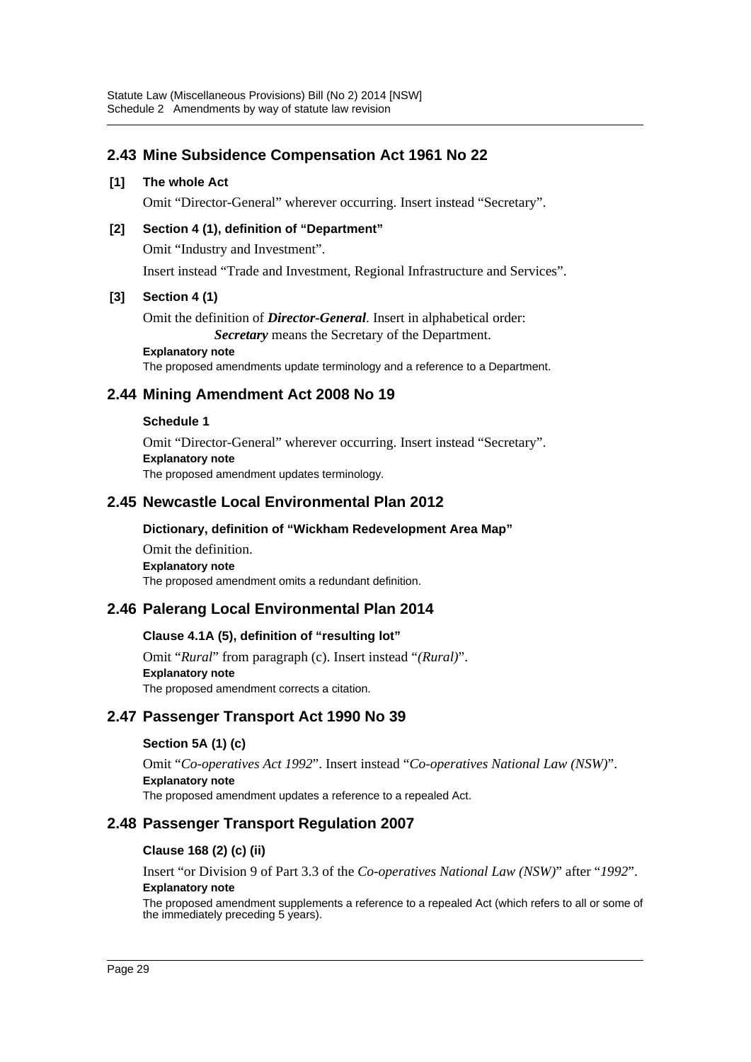# **2.43 Mine Subsidence Compensation Act 1961 No 22**

#### **[1] The whole Act**

Omit "Director-General" wherever occurring. Insert instead "Secretary".

### **[2] Section 4 (1), definition of "Department"**

Omit "Industry and Investment".

Insert instead "Trade and Investment, Regional Infrastructure and Services".

#### **[3] Section 4 (1)**

Omit the definition of *Director-General*. Insert in alphabetical order: *Secretary* means the Secretary of the Department.

**Explanatory note** The proposed amendments update terminology and a reference to a Department.

# **2.44 Mining Amendment Act 2008 No 19**

#### **Schedule 1**

Omit "Director-General" wherever occurring. Insert instead "Secretary". **Explanatory note** The proposed amendment updates terminology.

# **2.45 Newcastle Local Environmental Plan 2012**

#### **Dictionary, definition of "Wickham Redevelopment Area Map"**

Omit the definition. **Explanatory note** The proposed amendment omits a redundant definition.

# **2.46 Palerang Local Environmental Plan 2014**

### **Clause 4.1A (5), definition of "resulting lot"**

Omit "*Rural*" from paragraph (c). Insert instead "*(Rural)*". **Explanatory note** The proposed amendment corrects a citation.

# **2.47 Passenger Transport Act 1990 No 39**

### **Section 5A (1) (c)**

Omit "*Co-operatives Act 1992*". Insert instead "*Co-operatives National Law (NSW)*". **Explanatory note** The proposed amendment updates a reference to a repealed Act.

# **2.48 Passenger Transport Regulation 2007**

### **Clause 168 (2) (c) (ii)**

Insert "or Division 9 of Part 3.3 of the *Co-operatives National Law (NSW)*" after "*1992*".

### **Explanatory note**

The proposed amendment supplements a reference to a repealed Act (which refers to all or some of the immediately preceding 5 years).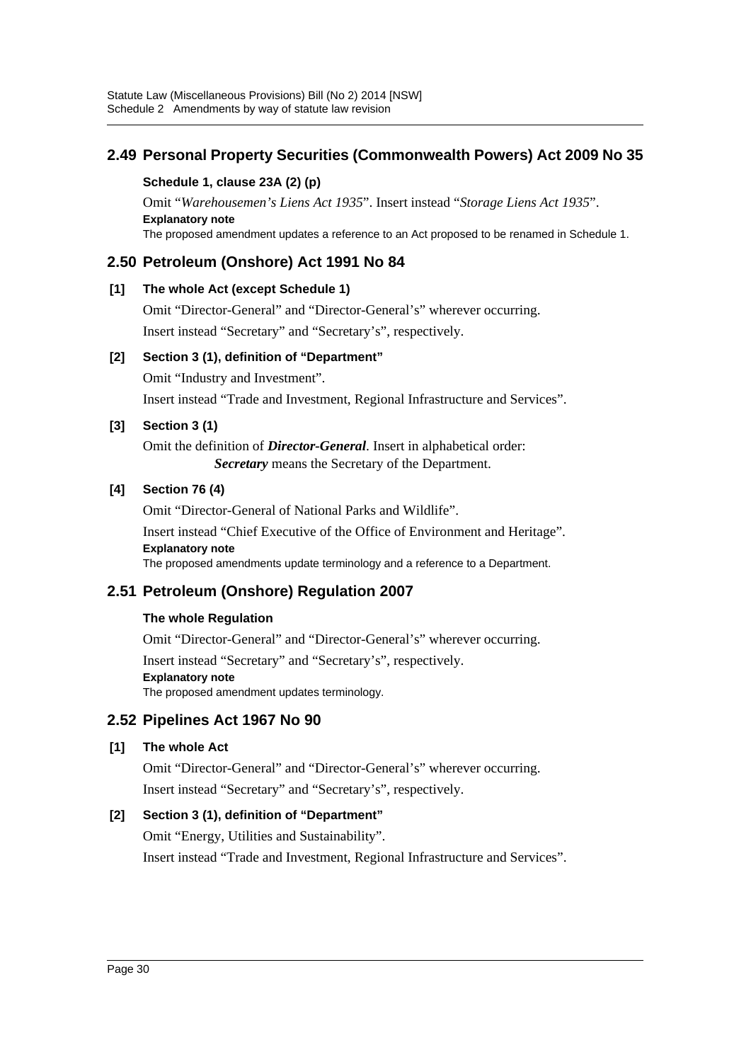# **2.49 Personal Property Securities (Commonwealth Powers) Act 2009 No 35**

## **Schedule 1, clause 23A (2) (p)**

Omit "*Warehousemen's Liens Act 1935*". Insert instead "*Storage Liens Act 1935*". **Explanatory note**

The proposed amendment updates a reference to an Act proposed to be renamed in Schedule 1.

# **2.50 Petroleum (Onshore) Act 1991 No 84**

# **[1] The whole Act (except Schedule 1)**

Omit "Director-General" and "Director-General's" wherever occurring. Insert instead "Secretary" and "Secretary's", respectively.

# **[2] Section 3 (1), definition of "Department"**

Omit "Industry and Investment". Insert instead "Trade and Investment, Regional Infrastructure and Services".

# **[3] Section 3 (1)**

Omit the definition of *Director-General*. Insert in alphabetical order: *Secretary* means the Secretary of the Department.

# **[4] Section 76 (4)**

Omit "Director-General of National Parks and Wildlife".

Insert instead "Chief Executive of the Office of Environment and Heritage". **Explanatory note**

The proposed amendments update terminology and a reference to a Department.

# **2.51 Petroleum (Onshore) Regulation 2007**

# **The whole Regulation**

Omit "Director-General" and "Director-General's" wherever occurring. Insert instead "Secretary" and "Secretary's", respectively. **Explanatory note** The proposed amendment updates terminology.

# **2.52 Pipelines Act 1967 No 90**

# **[1] The whole Act**

Omit "Director-General" and "Director-General's" wherever occurring. Insert instead "Secretary" and "Secretary's", respectively.

# **[2] Section 3 (1), definition of "Department"**

Omit "Energy, Utilities and Sustainability".

Insert instead "Trade and Investment, Regional Infrastructure and Services".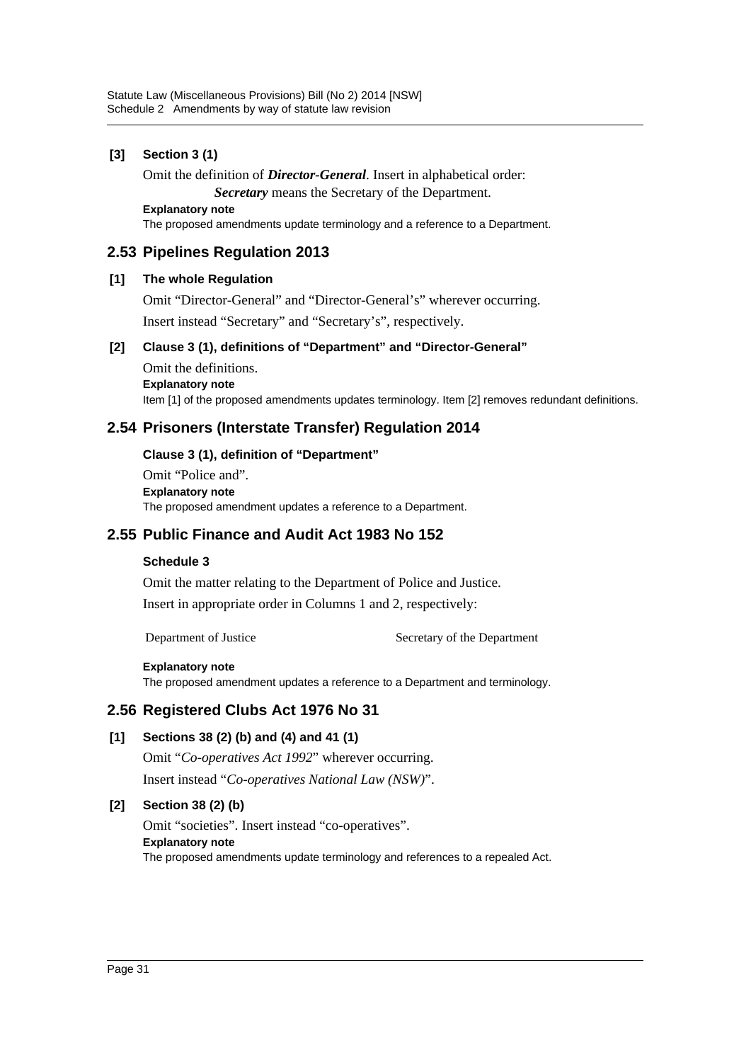### **[3] Section 3 (1)**

Omit the definition of *Director-General*. Insert in alphabetical order:

*Secretary* means the Secretary of the Department.

**Explanatory note**

The proposed amendments update terminology and a reference to a Department.

# **2.53 Pipelines Regulation 2013**

#### **[1] The whole Regulation**

Omit "Director-General" and "Director-General's" wherever occurring.

Insert instead "Secretary" and "Secretary's", respectively.

### **[2] Clause 3 (1), definitions of "Department" and "Director-General"**

Omit the definitions. **Explanatory note** Item [1] of the proposed amendments updates terminology. Item [2] removes redundant definitions.

# **2.54 Prisoners (Interstate Transfer) Regulation 2014**

### **Clause 3 (1), definition of "Department"**

Omit "Police and". **Explanatory note** The proposed amendment updates a reference to a Department.

# **2.55 Public Finance and Audit Act 1983 No 152**

### **Schedule 3**

Omit the matter relating to the Department of Police and Justice. Insert in appropriate order in Columns 1 and 2, respectively:

Department of Justice Secretary of the Department

#### **Explanatory note**

The proposed amendment updates a reference to a Department and terminology.

### **2.56 Registered Clubs Act 1976 No 31**

### **[1] Sections 38 (2) (b) and (4) and 41 (1)**

Omit "*Co-operatives Act 1992*" wherever occurring.

Insert instead "*Co-operatives National Law (NSW)*".

### **[2] Section 38 (2) (b)**

Omit "societies". Insert instead "co-operatives". **Explanatory note** The proposed amendments update terminology and references to a repealed Act.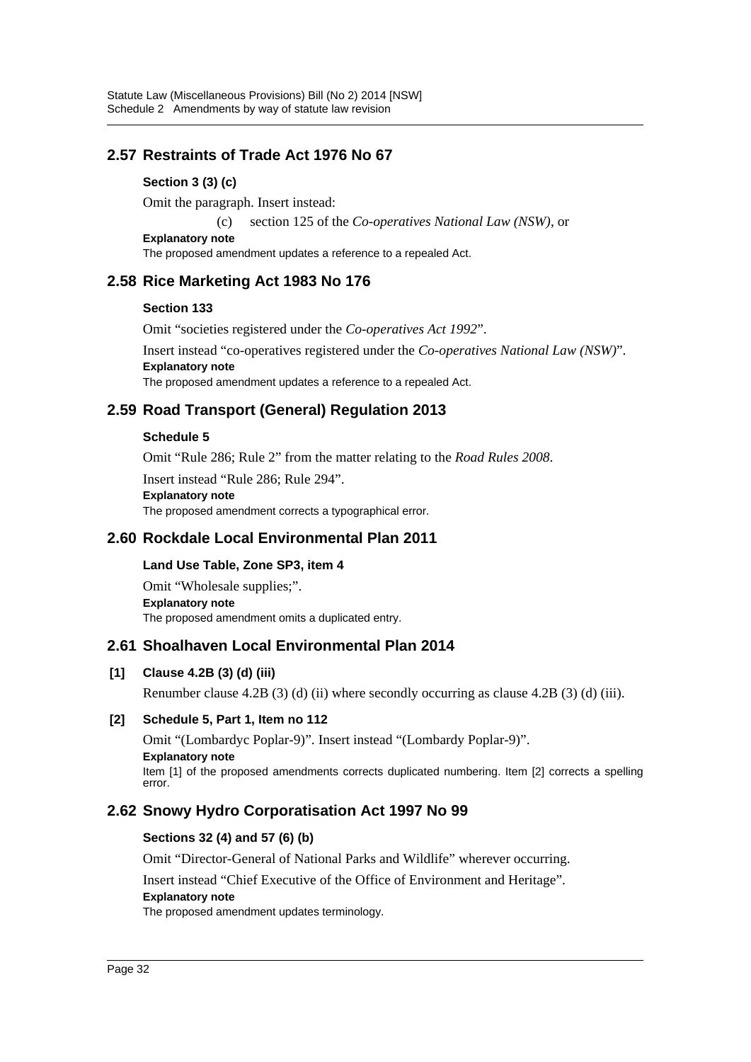# **2.57 Restraints of Trade Act 1976 No 67**

### **Section 3 (3) (c)**

Omit the paragraph. Insert instead:

(c) section 125 of the *Co-operatives National Law (NSW)*, or

**Explanatory note** The proposed amendment updates a reference to a repealed Act.

# **2.58 Rice Marketing Act 1983 No 176**

#### **Section 133**

Omit "societies registered under the *Co-operatives Act 1992*".

Insert instead "co-operatives registered under the *Co-operatives National Law (NSW)*". **Explanatory note**

The proposed amendment updates a reference to a repealed Act.

# **2.59 Road Transport (General) Regulation 2013**

#### **Schedule 5**

Omit "Rule 286; Rule 2" from the matter relating to the *Road Rules 2008*.

Insert instead "Rule 286; Rule 294".

#### **Explanatory note**

The proposed amendment corrects a typographical error.

## **2.60 Rockdale Local Environmental Plan 2011**

#### **Land Use Table, Zone SP3, item 4**

Omit "Wholesale supplies;". **Explanatory note** The proposed amendment omits a duplicated entry.

# **2.61 Shoalhaven Local Environmental Plan 2014**

### **[1] Clause 4.2B (3) (d) (iii)**

Renumber clause  $4.2B(3)(d)(ii)$  where secondly occurring as clause  $4.2B(3)(d)(iii)$ .

#### **[2] Schedule 5, Part 1, Item no 112**

Omit "(Lombardyc Poplar-9)". Insert instead "(Lombardy Poplar-9)". **Explanatory note** Item [1] of the proposed amendments corrects duplicated numbering. Item [2] corrects a spelling error.

# **2.62 Snowy Hydro Corporatisation Act 1997 No 99**

#### **Sections 32 (4) and 57 (6) (b)**

Omit "Director-General of National Parks and Wildlife" wherever occurring.

Insert instead "Chief Executive of the Office of Environment and Heritage".

#### **Explanatory note**

The proposed amendment updates terminology.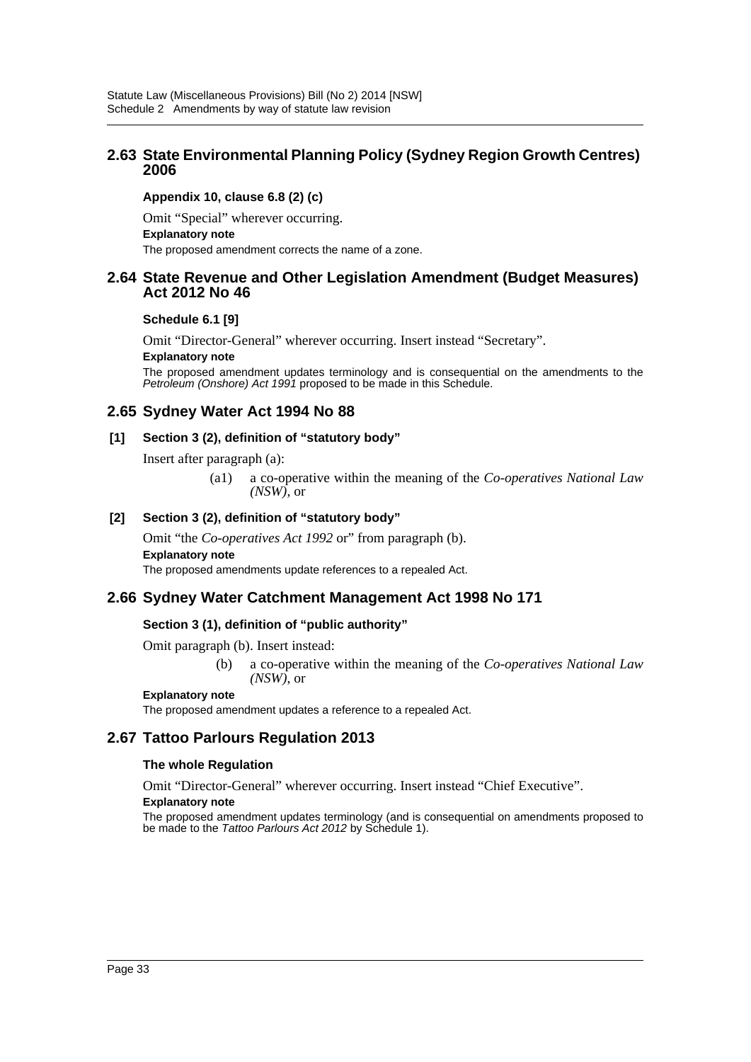# **2.63 State Environmental Planning Policy (Sydney Region Growth Centres) 2006**

### **Appendix 10, clause 6.8 (2) (c)**

Omit "Special" wherever occurring. **Explanatory note** The proposed amendment corrects the name of a zone.

### **2.64 State Revenue and Other Legislation Amendment (Budget Measures) Act 2012 No 46**

#### **Schedule 6.1 [9]**

Omit "Director-General" wherever occurring. Insert instead "Secretary".

#### **Explanatory note**

The proposed amendment updates terminology and is consequential on the amendments to the *Petroleum (Onshore) Act 1991* proposed to be made in this Schedule.

### **2.65 Sydney Water Act 1994 No 88**

#### **[1] Section 3 (2), definition of "statutory body"**

Insert after paragraph (a):

(a1) a co-operative within the meaning of the *Co-operatives National Law (NSW)*, or

### **[2] Section 3 (2), definition of "statutory body"**

Omit "the *Co-operatives Act 1992* or" from paragraph (b). **Explanatory note** The proposed amendments update references to a repealed Act.

### **2.66 Sydney Water Catchment Management Act 1998 No 171**

#### **Section 3 (1), definition of "public authority"**

Omit paragraph (b). Insert instead:

(b) a co-operative within the meaning of the *Co-operatives National Law (NSW)*, or

#### **Explanatory note**

The proposed amendment updates a reference to a repealed Act.

# **2.67 Tattoo Parlours Regulation 2013**

#### **The whole Regulation**

Omit "Director-General" wherever occurring. Insert instead "Chief Executive".

#### **Explanatory note**

The proposed amendment updates terminology (and is consequential on amendments proposed to be made to the *Tattoo Parlours Act 2012* by Schedule 1).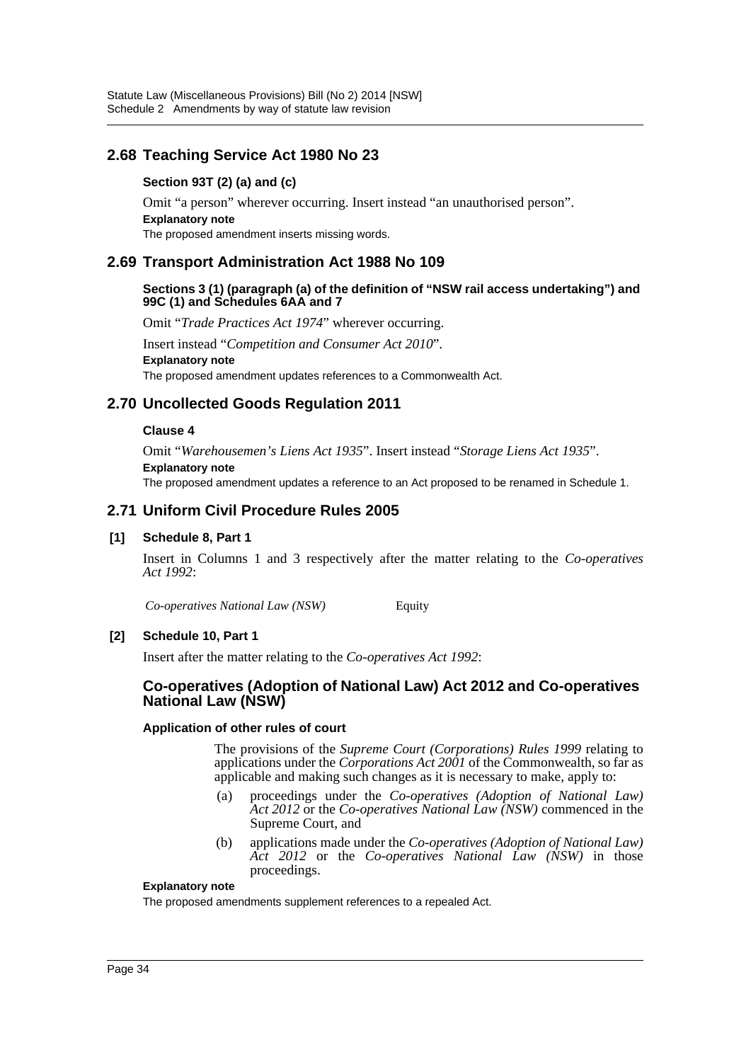# **2.68 Teaching Service Act 1980 No 23**

### **Section 93T (2) (a) and (c)**

Omit "a person" wherever occurring. Insert instead "an unauthorised person". **Explanatory note** The proposed amendment inserts missing words.

# **2.69 Transport Administration Act 1988 No 109**

#### **Sections 3 (1) (paragraph (a) of the definition of "NSW rail access undertaking") and 99C (1) and Schedules 6AA and 7**

Omit "*Trade Practices Act 1974*" wherever occurring.

Insert instead "*Competition and Consumer Act 2010*". **Explanatory note** The proposed amendment updates references to a Commonwealth Act.

# **2.70 Uncollected Goods Regulation 2011**

#### **Clause 4**

Omit "*Warehousemen's Liens Act 1935*". Insert instead "*Storage Liens Act 1935*". **Explanatory note** The proposed amendment updates a reference to an Act proposed to be renamed in Schedule 1.

# **2.71 Uniform Civil Procedure Rules 2005**

#### **[1] Schedule 8, Part 1**

Insert in Columns 1 and 3 respectively after the matter relating to the *Co-operatives Act 1992*:

*Co-operatives National Law (NSW)* Equity

#### **[2] Schedule 10, Part 1**

Insert after the matter relating to the *Co-operatives Act 1992*:

### **Co-operatives (Adoption of National Law) Act 2012 and Co-operatives National Law (NSW)**

#### **Application of other rules of court**

The provisions of the *Supreme Court (Corporations) Rules 1999* relating to applications under the *Corporations Act 2001* of the Commonwealth, so far as applicable and making such changes as it is necessary to make, apply to:

- (a) proceedings under the *Co-operatives (Adoption of National Law) Act 2012* or the *Co-operatives National Law (NSW)* commenced in the Supreme Court, and
- (b) applications made under the *Co-operatives (Adoption of National Law) Act 2012* or the *Co-operatives National Law (NSW)* in those proceedings.

#### **Explanatory note**

The proposed amendments supplement references to a repealed Act.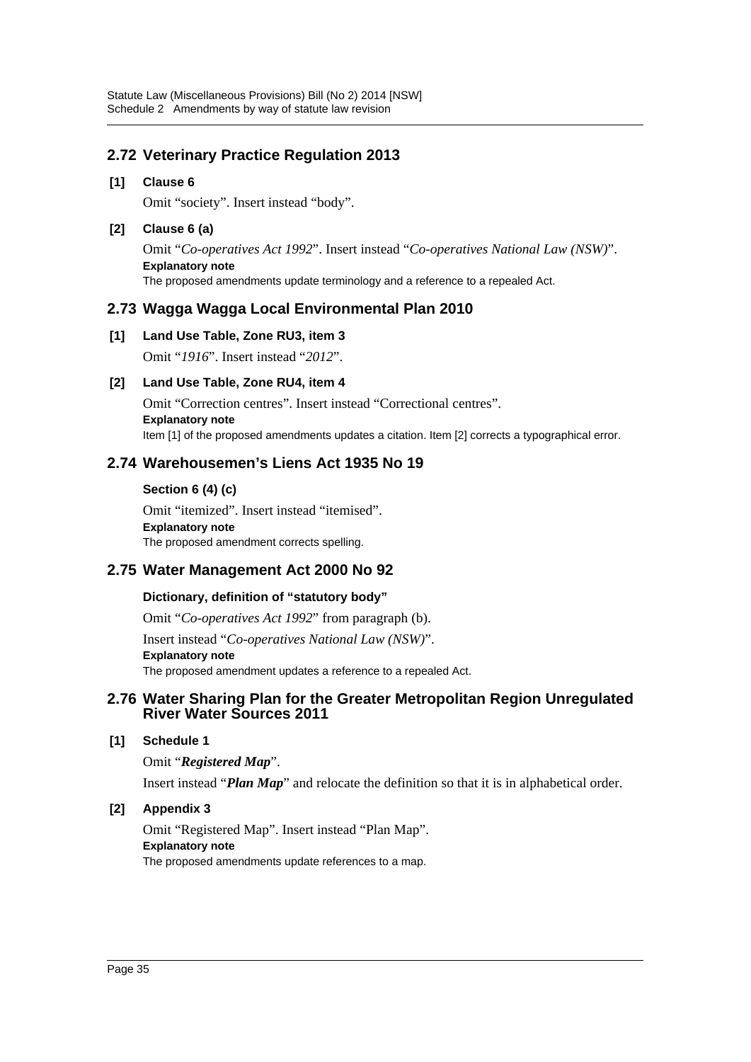# **2.72 Veterinary Practice Regulation 2013**

### **[1] Clause 6**

Omit "society". Insert instead "body".

### **[2] Clause 6 (a)**

Omit "*Co-operatives Act 1992*". Insert instead "*Co-operatives National Law (NSW)*". **Explanatory note** The proposed amendments update terminology and a reference to a repealed Act.

# **2.73 Wagga Wagga Local Environmental Plan 2010**

### **[1] Land Use Table, Zone RU3, item 3**

Omit "*1916*". Insert instead "*2012*".

### **[2] Land Use Table, Zone RU4, item 4**

Omit "Correction centres". Insert instead "Correctional centres". **Explanatory note** Item [1] of the proposed amendments updates a citation. Item [2] corrects a typographical error.

# **2.74 Warehousemen's Liens Act 1935 No 19**

#### **Section 6 (4) (c)**

Omit "itemized". Insert instead "itemised". **Explanatory note** The proposed amendment corrects spelling.

# **2.75 Water Management Act 2000 No 92**

### **Dictionary, definition of "statutory body"**

Omit "*Co-operatives Act 1992*" from paragraph (b).

Insert instead "*Co-operatives National Law (NSW)*". **Explanatory note** The proposed amendment updates a reference to a repealed Act.

# **2.76 Water Sharing Plan for the Greater Metropolitan Region Unregulated River Water Sources 2011**

### **[1] Schedule 1**

Omit "*Registered Map*".

Insert instead "*Plan Map*" and relocate the definition so that it is in alphabetical order.

### **[2] Appendix 3**

Omit "Registered Map". Insert instead "Plan Map". **Explanatory note** The proposed amendments update references to a map.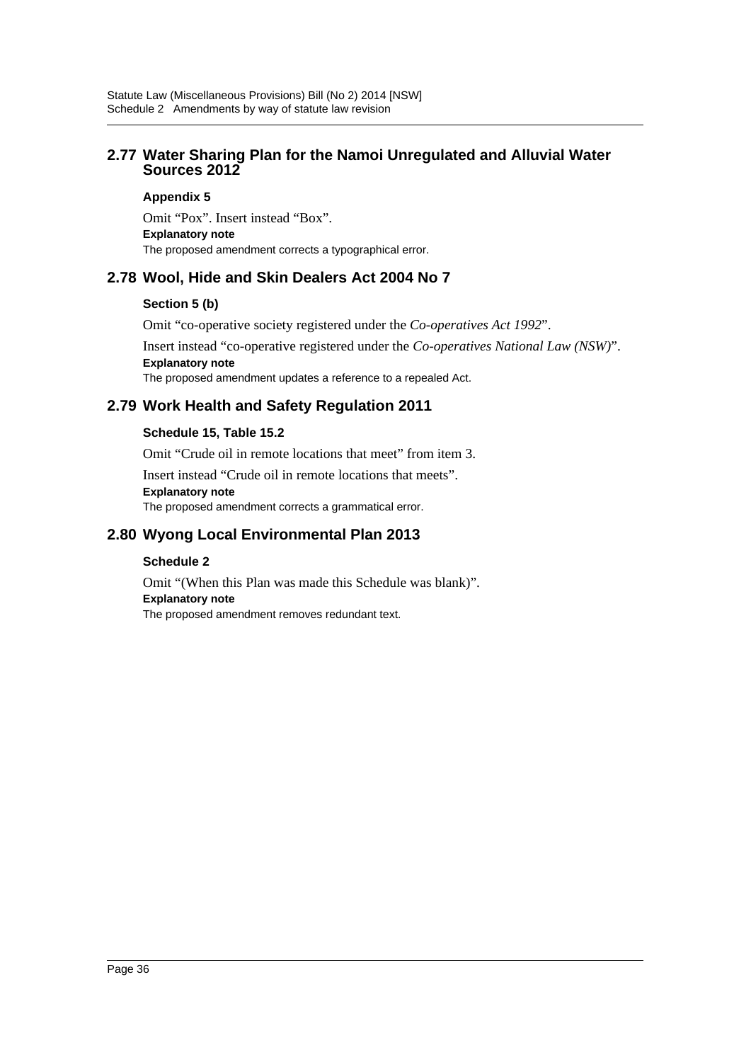# **2.77 Water Sharing Plan for the Namoi Unregulated and Alluvial Water Sources 2012**

#### **Appendix 5**

Omit "Pox". Insert instead "Box". **Explanatory note** The proposed amendment corrects a typographical error.

# **2.78 Wool, Hide and Skin Dealers Act 2004 No 7**

### **Section 5 (b)**

Omit "co-operative society registered under the *Co-operatives Act 1992*".

Insert instead "co-operative registered under the *Co-operatives National Law (NSW)*". **Explanatory note** The proposed amendment updates a reference to a repealed Act.

# **2.79 Work Health and Safety Regulation 2011**

### **Schedule 15, Table 15.2**

Omit "Crude oil in remote locations that meet" from item 3.

Insert instead "Crude oil in remote locations that meets".

#### **Explanatory note**

The proposed amendment corrects a grammatical error.

# **2.80 Wyong Local Environmental Plan 2013**

### **Schedule 2**

Omit "(When this Plan was made this Schedule was blank)". **Explanatory note** The proposed amendment removes redundant text.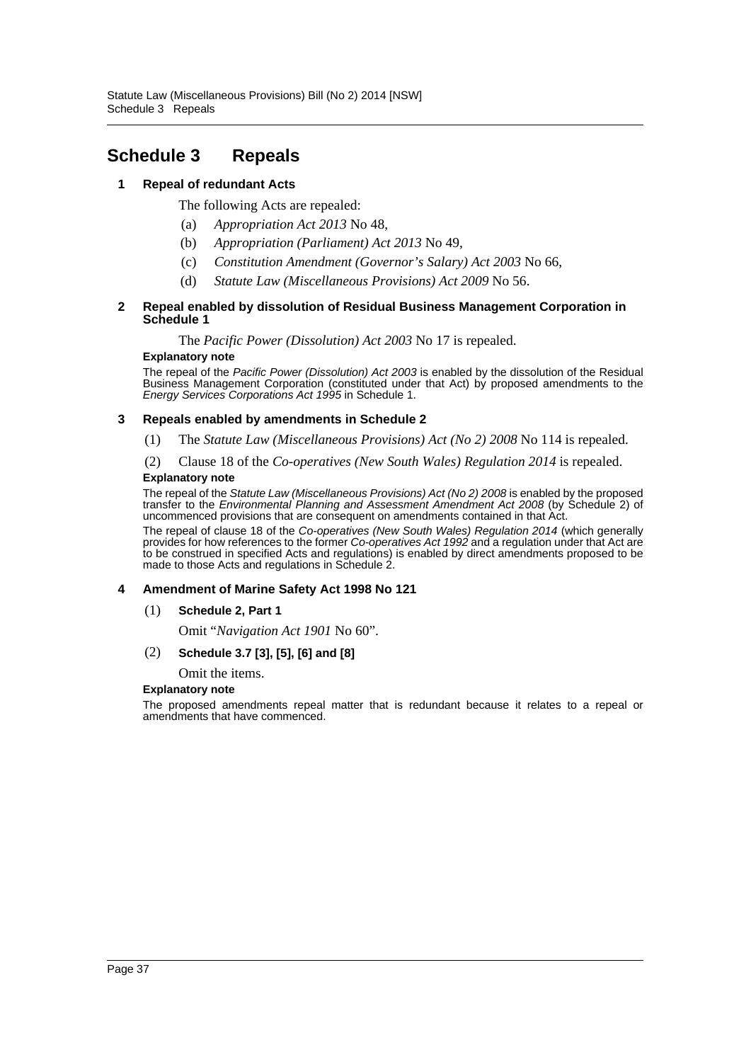# <span id="page-37-0"></span>**Schedule 3 Repeals**

### **1 Repeal of redundant Acts**

The following Acts are repealed:

- (a) *Appropriation Act 2013* No 48,
- (b) *Appropriation (Parliament) Act 2013* No 49,
- (c) *Constitution Amendment (Governor's Salary) Act 2003* No 66,
- (d) *Statute Law (Miscellaneous Provisions) Act 2009* No 56.

#### **2 Repeal enabled by dissolution of Residual Business Management Corporation in Schedule 1**

The *Pacific Power (Dissolution) Act 2003* No 17 is repealed.

#### **Explanatory note**

The repeal of the *Pacific Power (Dissolution) Act 2003* is enabled by the dissolution of the Residual Business Management Corporation (constituted under that Act) by proposed amendments to the *Energy Services Corporations Act 1995* in Schedule 1.

#### **3 Repeals enabled by amendments in Schedule 2**

(1) The *Statute Law (Miscellaneous Provisions) Act (No 2) 2008* No 114 is repealed.

(2) Clause 18 of the *Co-operatives (New South Wales) Regulation 2014* is repealed.

#### **Explanatory note**

The repeal of the *Statute Law (Miscellaneous Provisions) Act (No 2) 2008* is enabled by the proposed transfer to the *Environmental Planning and Assessment Amendment Act 2008* (by Schedule 2) of uncommenced provisions that are consequent on amendments contained in that Act.

The repeal of clause 18 of the *Co-operatives (New South Wales) Regulation 2014* (which generally provides for how references to the former *Co-operatives Act 1992* and a regulation under that Act are to be construed in specified Acts and regulations) is enabled by direct amendments proposed to be made to those Acts and regulations in Schedule 2.

#### **4 Amendment of Marine Safety Act 1998 No 121**

(1) **Schedule 2, Part 1**

Omit "*Navigation Act 1901* No 60".

#### (2) **Schedule 3.7 [3], [5], [6] and [8]**

Omit the items.

#### **Explanatory note**

The proposed amendments repeal matter that is redundant because it relates to a repeal or amendments that have commenced.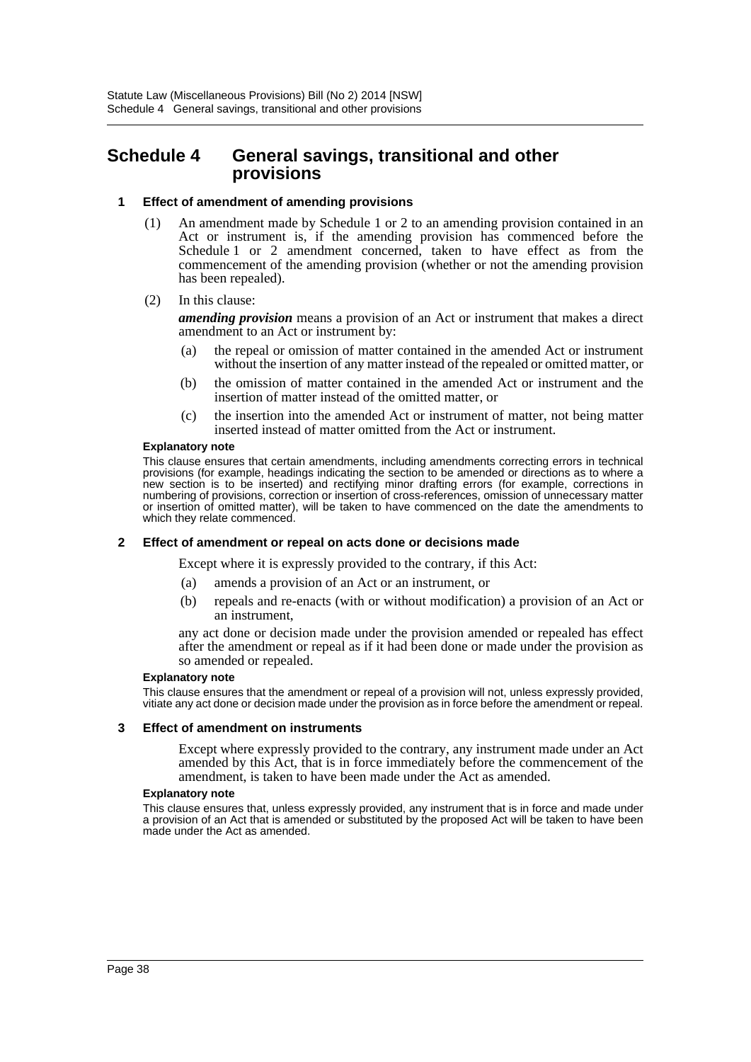# <span id="page-38-0"></span>**Schedule 4 General savings, transitional and other provisions**

#### **1 Effect of amendment of amending provisions**

- (1) An amendment made by Schedule 1 or 2 to an amending provision contained in an Act or instrument is, if the amending provision has commenced before the Schedule 1 or 2 amendment concerned, taken to have effect as from the commencement of the amending provision (whether or not the amending provision has been repealed).
- (2) In this clause:

*amending provision* means a provision of an Act or instrument that makes a direct amendment to an Act or instrument by:

- (a) the repeal or omission of matter contained in the amended Act or instrument without the insertion of any matter instead of the repealed or omitted matter, or
- (b) the omission of matter contained in the amended Act or instrument and the insertion of matter instead of the omitted matter, or
- (c) the insertion into the amended Act or instrument of matter, not being matter inserted instead of matter omitted from the Act or instrument.

#### **Explanatory note**

This clause ensures that certain amendments, including amendments correcting errors in technical provisions (for example, headings indicating the section to be amended or directions as to where a new section is to be inserted) and rectifying minor drafting errors (for example, corrections in numbering of provisions, correction or insertion of cross-references, omission of unnecessary matter or insertion of omitted matter), will be taken to have commenced on the date the amendments to which they relate commenced.

#### **2 Effect of amendment or repeal on acts done or decisions made**

Except where it is expressly provided to the contrary, if this Act:

- (a) amends a provision of an Act or an instrument, or
- (b) repeals and re-enacts (with or without modification) a provision of an Act or an instrument,

any act done or decision made under the provision amended or repealed has effect after the amendment or repeal as if it had been done or made under the provision as so amended or repealed.

#### **Explanatory note**

This clause ensures that the amendment or repeal of a provision will not, unless expressly provided, vitiate any act done or decision made under the provision as in force before the amendment or repeal.

#### **3 Effect of amendment on instruments**

Except where expressly provided to the contrary, any instrument made under an Act amended by this Act, that is in force immediately before the commencement of the amendment, is taken to have been made under the Act as amended.

#### **Explanatory note**

This clause ensures that, unless expressly provided, any instrument that is in force and made under a provision of an Act that is amended or substituted by the proposed Act will be taken to have been made under the Act as amended.